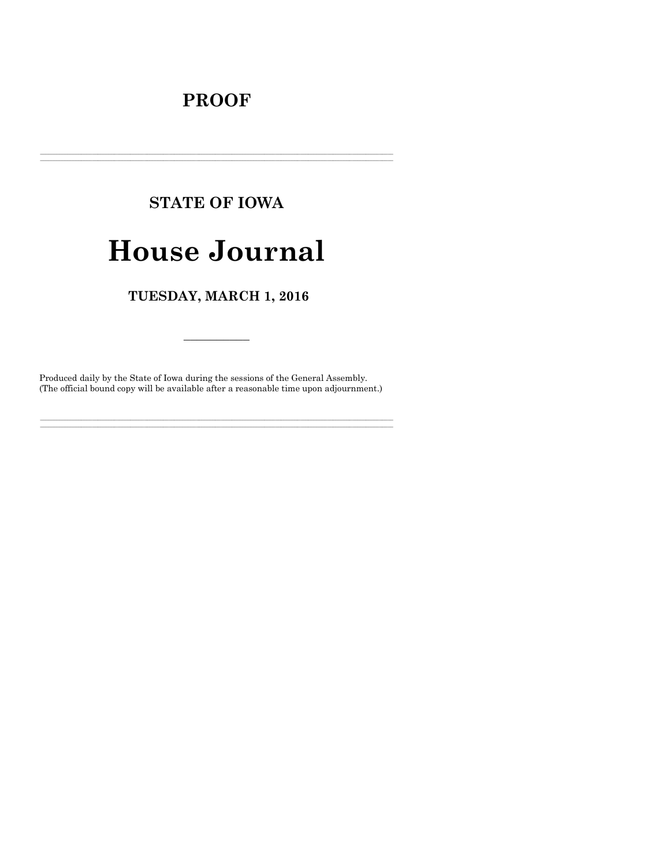## **PROOF**

## **STATE OF IOWA**

# **House Journal**

### TUESDAY, MARCH 1, 2016

Produced daily by the State of Iowa during the sessions of the General Assembly. (The official bound copy will be available after a reasonable time upon adjournment.)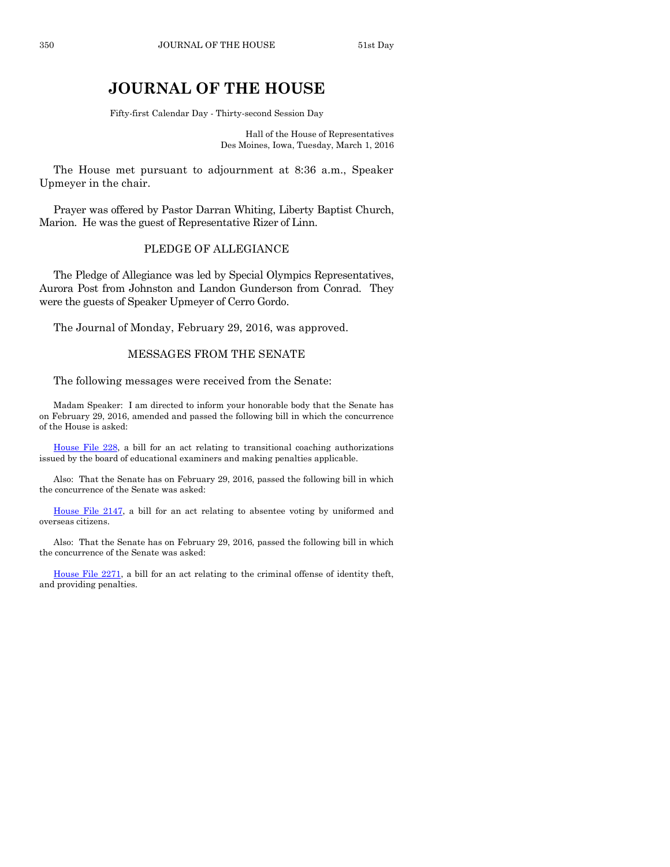### **JOURNAL OF THE HOUSE**

Fifty-first Calendar Day - Thirty-second Session Day

Hall of the House of Representatives Des Moines, Iowa, Tuesday, March 1, 2016

The House met pursuant to adjournment at 8:36 a.m., Speaker Upmeyer in the chair.

Prayer was offered by Pastor Darran Whiting, Liberty Baptist Church, Marion. He was the guest of Representative Rizer of Linn.

#### PLEDGE OF ALLEGIANCE

The Pledge of Allegiance was led by Special Olympics Representatives, Aurora Post from Johnston and Landon Gunderson from Conrad. They were the guests of Speaker Upmeyer of Cerro Gordo.

The Journal of Monday, February 29, 2016, was approved.

#### MESSAGES FROM THE SENATE

The following messages were received from the Senate:

Madam Speaker: I am directed to inform your honorable body that the Senate has on February 29, 2016, amended and passed the following bill in which the concurrence of the House is asked:

[House File 228,](http://coolice.legis.iowa.gov/Cool-ICE/default.asp?Category=billinfo&Service=Billbook&frame=1&GA=86&hbill=HF228) a bill for an act relating to transitional coaching authorizations issued by the board of educational examiners and making penalties applicable.

Also: That the Senate has on February 29, 2016, passed the following bill in which the concurrence of the Senate was asked:

[House File 2147,](http://coolice.legis.iowa.gov/Cool-ICE/default.asp?Category=billinfo&Service=Billbook&frame=1&GA=86&hbill=HF2147) a bill for an act relating to absentee voting by uniformed and overseas citizens.

Also: That the Senate has on February 29, 2016, passed the following bill in which the concurrence of the Senate was asked:

[House File 2271,](http://coolice.legis.iowa.gov/Cool-ICE/default.asp?Category=billinfo&Service=Billbook&frame=1&GA=86&hbill=HF2271) a bill for an act relating to the criminal offense of identity theft, and providing penalties.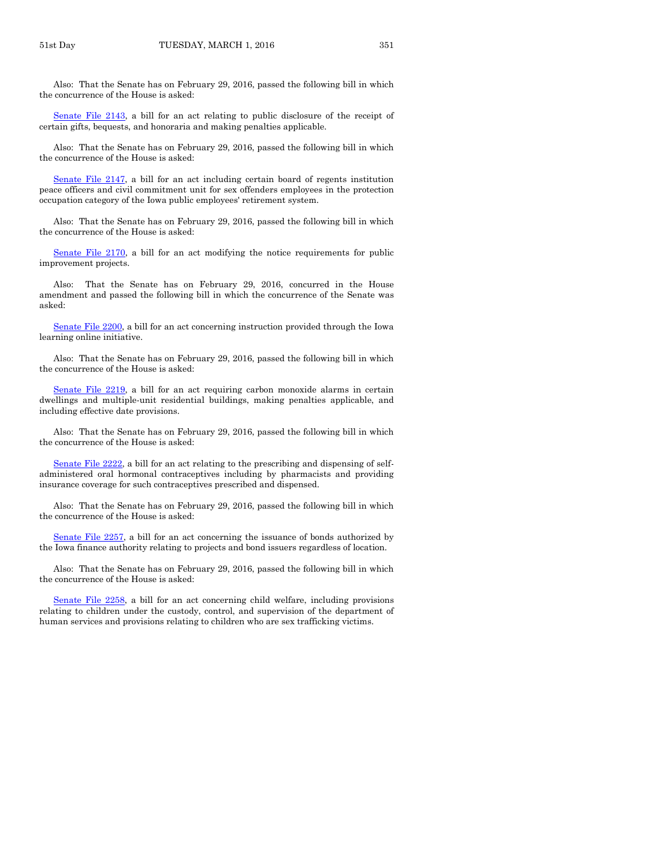Also: That the Senate has on February 29, 2016, passed the following bill in which the concurrence of the House is asked:

[Senate File 2143,](http://coolice.legis.iowa.gov/Cool-ICE/default.asp?Category=billinfo&Service=Billbook&frame=1&GA=86&hbill=SF2143) a bill for an act relating to public disclosure of the receipt of certain gifts, bequests, and honoraria and making penalties applicable.

Also: That the Senate has on February 29, 2016, passed the following bill in which the concurrence of the House is asked:

[Senate File 2147,](http://coolice.legis.iowa.gov/Cool-ICE/default.asp?Category=billinfo&Service=Billbook&frame=1&GA=86&hbill=SF2147) a bill for an act including certain board of regents institution peace officers and civil commitment unit for sex offenders employees in the protection occupation category of the Iowa public employees' retirement system.

Also: That the Senate has on February 29, 2016, passed the following bill in which the concurrence of the House is asked:

[Senate File 2170,](http://coolice.legis.iowa.gov/Cool-ICE/default.asp?Category=billinfo&Service=Billbook&frame=1&GA=86&hbill=SF2170) a bill for an act modifying the notice requirements for public improvement projects.

Also: That the Senate has on February 29, 2016, concurred in the House amendment and passed the following bill in which the concurrence of the Senate was asked:

[Senate File 2200,](http://coolice.legis.iowa.gov/Cool-ICE/default.asp?Category=billinfo&Service=Billbook&frame=1&GA=86&hbill=SF2200) a bill for an act concerning instruction provided through the Iowa learning online initiative.

Also: That the Senate has on February 29, 2016, passed the following bill in which the concurrence of the House is asked:

[Senate File 2219,](http://coolice.legis.iowa.gov/Cool-ICE/default.asp?Category=billinfo&Service=Billbook&frame=1&GA=86&hbill=SF2219) a bill for an act requiring carbon monoxide alarms in certain dwellings and multiple-unit residential buildings, making penalties applicable, and including effective date provisions.

Also: That the Senate has on February 29, 2016, passed the following bill in which the concurrence of the House is asked:

[Senate File 2222,](http://coolice.legis.iowa.gov/Cool-ICE/default.asp?Category=billinfo&Service=Billbook&frame=1&GA=86&hbill=SF2222) a bill for an act relating to the prescribing and dispensing of selfadministered oral hormonal contraceptives including by pharmacists and providing insurance coverage for such contraceptives prescribed and dispensed.

Also: That the Senate has on February 29, 2016, passed the following bill in which the concurrence of the House is asked:

[Senate File 2257,](http://coolice.legis.iowa.gov/Cool-ICE/default.asp?Category=billinfo&Service=Billbook&frame=1&GA=86&hbill=SF2257) a bill for an act concerning the issuance of bonds authorized by the Iowa finance authority relating to projects and bond issuers regardless of location.

Also: That the Senate has on February 29, 2016, passed the following bill in which the concurrence of the House is asked:

[Senate File 2258,](http://coolice.legis.iowa.gov/Cool-ICE/default.asp?Category=billinfo&Service=Billbook&frame=1&GA=86&hbill=SF2258) a bill for an act concerning child welfare, including provisions relating to children under the custody, control, and supervision of the department of human services and provisions relating to children who are sex trafficking victims.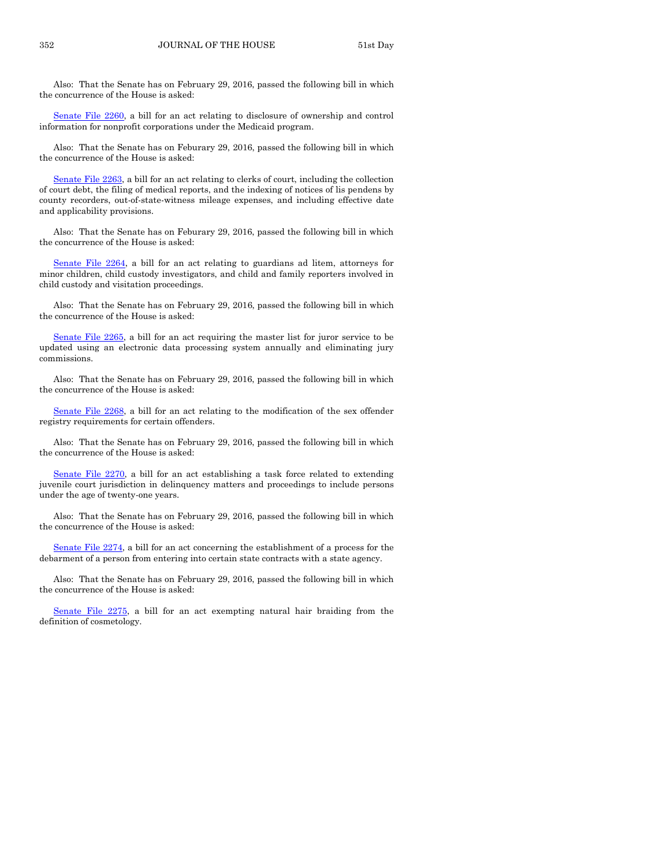Also: That the Senate has on February 29, 2016, passed the following bill in which the concurrence of the House is asked:

[Senate File 2260,](http://coolice.legis.iowa.gov/Cool-ICE/default.asp?Category=billinfo&Service=Billbook&frame=1&GA=86&hbill=SF2260) a bill for an act relating to disclosure of ownership and control information for nonprofit corporations under the Medicaid program.

Also: That the Senate has on Feburary 29, 2016, passed the following bill in which the concurrence of the House is asked:

[Senate File 2263,](http://coolice.legis.iowa.gov/Cool-ICE/default.asp?Category=billinfo&Service=Billbook&frame=1&GA=86&hbill=SF2263) a bill for an act relating to clerks of court, including the collection of court debt, the filing of medical reports, and the indexing of notices of lis pendens by county recorders, out-of-state-witness mileage expenses, and including effective date and applicability provisions.

Also: That the Senate has on Feburary 29, 2016, passed the following bill in which the concurrence of the House is asked:

[Senate File 2264,](http://coolice.legis.iowa.gov/Cool-ICE/default.asp?Category=billinfo&Service=Billbook&frame=1&GA=86&hbill=SF2264) a bill for an act relating to guardians ad litem, attorneys for minor children, child custody investigators, and child and family reporters involved in child custody and visitation proceedings.

Also: That the Senate has on February 29, 2016, passed the following bill in which the concurrence of the House is asked:

[Senate File 2265,](http://coolice.legis.iowa.gov/Cool-ICE/default.asp?Category=billinfo&Service=Billbook&frame=1&GA=86&hbill=SF2265) a bill for an act requiring the master list for juror service to be updated using an electronic data processing system annually and eliminating jury commissions.

Also: That the Senate has on February 29, 2016, passed the following bill in which the concurrence of the House is asked:

[Senate File 2268,](http://coolice.legis.iowa.gov/Cool-ICE/default.asp?Category=billinfo&Service=Billbook&frame=1&GA=86&hbill=SF2268) a bill for an act relating to the modification of the sex offender registry requirements for certain offenders.

Also: That the Senate has on February 29, 2016, passed the following bill in which the concurrence of the House is asked:

[Senate File 2270,](http://coolice.legis.iowa.gov/Cool-ICE/default.asp?Category=billinfo&Service=Billbook&frame=1&GA=86&hbill=SF2270) a bill for an act establishing a task force related to extending juvenile court jurisdiction in delinquency matters and proceedings to include persons under the age of twenty-one years.

Also: That the Senate has on February 29, 2016, passed the following bill in which the concurrence of the House is asked:

[Senate File 2274,](http://coolice.legis.iowa.gov/Cool-ICE/default.asp?Category=billinfo&Service=Billbook&frame=1&GA=86&hbill=SF2274) a bill for an act concerning the establishment of a process for the debarment of a person from entering into certain state contracts with a state agency.

Also: That the Senate has on February 29, 2016, passed the following bill in which the concurrence of the House is asked:

[Senate File 2275,](http://coolice.legis.iowa.gov/Cool-ICE/default.asp?Category=billinfo&Service=Billbook&frame=1&GA=86&hbill=SF2275) a bill for an act exempting natural hair braiding from the definition of cosmetology.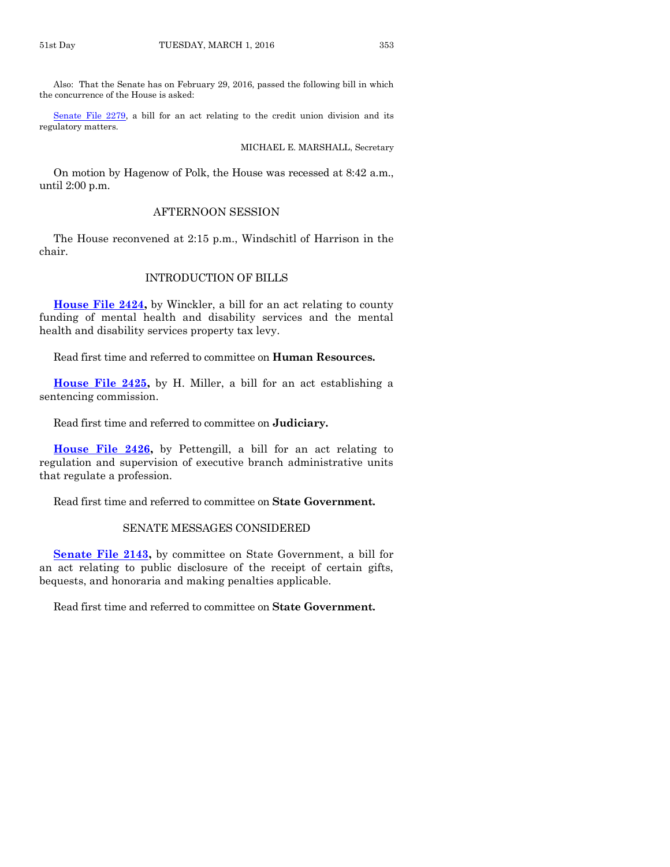Also: That the Senate has on February 29, 2016, passed the following bill in which the concurrence of the House is asked:

[Senate File 2279,](http://coolice.legis.iowa.gov/Cool-ICE/default.asp?Category=billinfo&Service=Billbook&frame=1&GA=86&hbill=SF2279) a bill for an act relating to the credit union division and its regulatory matters.

#### MICHAEL E. MARSHALL, Secretary

On motion by Hagenow of Polk, the House was recessed at 8:42 a.m., until 2:00 p.m.

#### AFTERNOON SESSION

The House reconvened at 2:15 p.m., Windschitl of Harrison in the chair.

#### INTRODUCTION OF BILLS

**[House File 2424,](http://coolice.legis.iowa.gov/Cool-ICE/default.asp?Category=billinfo&Service=Billbook&frame=1&GA=86&hbill=HF2424)** by Winckler, a bill for an act relating to county funding of mental health and disability services and the mental health and disability services property tax levy.

Read first time and referred to committee on **Human Resources.**

**[House File 2425,](http://coolice.legis.iowa.gov/Cool-ICE/default.asp?Category=billinfo&Service=Billbook&frame=1&GA=86&hbill=HF2425)** by H. Miller, a bill for an act establishing a sentencing commission.

Read first time and referred to committee on **Judiciary.**

**[House File 2426,](http://coolice.legis.iowa.gov/Cool-ICE/default.asp?Category=billinfo&Service=Billbook&frame=1&GA=86&hbill=HF2426)** by Pettengill, a bill for an act relating to regulation and supervision of executive branch administrative units that regulate a profession.

Read first time and referred to committee on **State Government.**

#### SENATE MESSAGES CONSIDERED

**[Senate File 2143,](http://coolice.legis.iowa.gov/Cool-ICE/default.asp?Category=billinfo&Service=Billbook&frame=1&GA=86&hbill=SF2143)** by committee on State Government, a bill for an act relating to public disclosure of the receipt of certain gifts, bequests, and honoraria and making penalties applicable.

Read first time and referred to committee on **State Government.**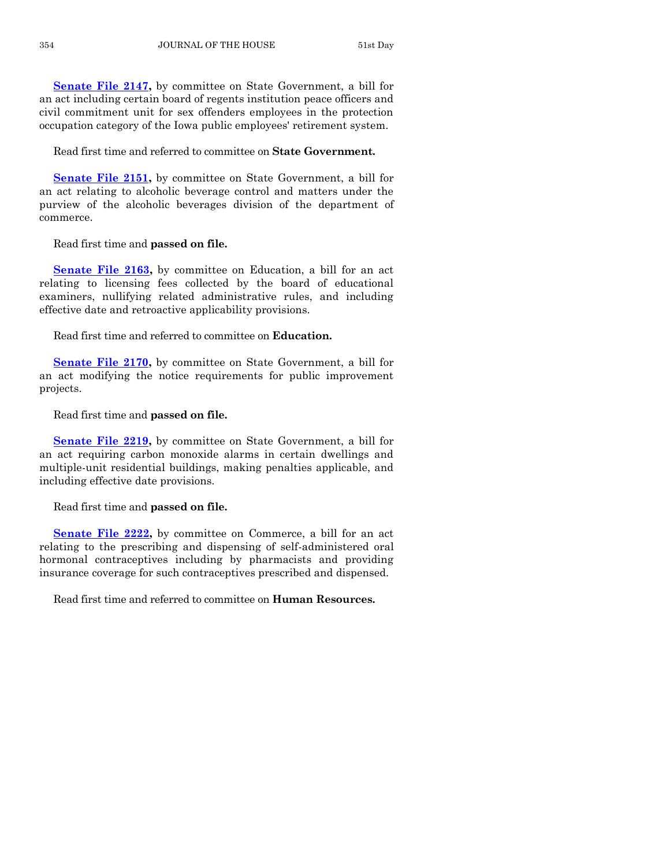**[Senate File 2147,](http://coolice.legis.iowa.gov/Cool-ICE/default.asp?Category=billinfo&Service=Billbook&frame=1&GA=86&hbill=SF2147)** by committee on State Government, a bill for an act including certain board of regents institution peace officers and civil commitment unit for sex offenders employees in the protection occupation category of the Iowa public employees' retirement system.

Read first time and referred to committee on **State Government.**

**[Senate File 2151,](http://coolice.legis.iowa.gov/Cool-ICE/default.asp?Category=billinfo&Service=Billbook&frame=1&GA=86&hbill=SF2151)** by committee on State Government, a bill for an act relating to alcoholic beverage control and matters under the purview of the alcoholic beverages division of the department of commerce.

Read first time and **passed on file.**

**[Senate File 2163,](http://coolice.legis.iowa.gov/Cool-ICE/default.asp?Category=billinfo&Service=Billbook&frame=1&GA=86&hbill=SF2163)** by committee on Education, a bill for an act relating to licensing fees collected by the board of educational examiners, nullifying related administrative rules, and including effective date and retroactive applicability provisions.

Read first time and referred to committee on **Education.**

**[Senate File 2170,](http://coolice.legis.iowa.gov/Cool-ICE/default.asp?Category=billinfo&Service=Billbook&frame=1&GA=86&hbill=SF2170)** by committee on State Government, a bill for an act modifying the notice requirements for public improvement projects.

Read first time and **passed on file.**

**[Senate File 2219,](http://coolice.legis.iowa.gov/Cool-ICE/default.asp?Category=billinfo&Service=Billbook&frame=1&GA=86&hbill=SF2219)** by committee on State Government, a bill for an act requiring carbon monoxide alarms in certain dwellings and multiple-unit residential buildings, making penalties applicable, and including effective date provisions.

Read first time and **passed on file.**

**[Senate File 2222,](http://coolice.legis.iowa.gov/Cool-ICE/default.asp?Category=billinfo&Service=Billbook&frame=1&GA=86&hbill=SF2222)** by committee on Commerce, a bill for an act relating to the prescribing and dispensing of self-administered oral hormonal contraceptives including by pharmacists and providing insurance coverage for such contraceptives prescribed and dispensed.

Read first time and referred to committee on **Human Resources.**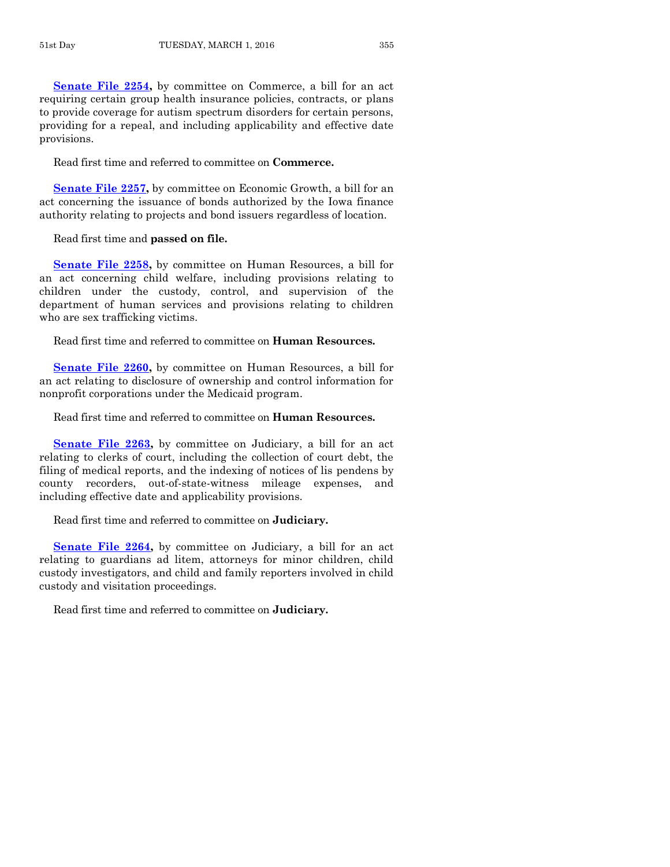**[Senate File 2254,](http://coolice.legis.iowa.gov/Cool-ICE/default.asp?Category=billinfo&Service=Billbook&frame=1&GA=86&hbill=SF2254)** by committee on Commerce, a bill for an act requiring certain group health insurance policies, contracts, or plans to provide coverage for autism spectrum disorders for certain persons, providing for a repeal, and including applicability and effective date provisions.

Read first time and referred to committee on **Commerce.**

**[Senate File 2257,](http://coolice.legis.iowa.gov/Cool-ICE/default.asp?Category=billinfo&Service=Billbook&frame=1&GA=86&hbill=SF2257)** by committee on Economic Growth, a bill for an act concerning the issuance of bonds authorized by the Iowa finance authority relating to projects and bond issuers regardless of location.

Read first time and **passed on file.**

**[Senate File 2258,](http://coolice.legis.iowa.gov/Cool-ICE/default.asp?Category=billinfo&Service=Billbook&frame=1&GA=86&hbill=SF2258)** by committee on Human Resources, a bill for an act concerning child welfare, including provisions relating to children under the custody, control, and supervision of the department of human services and provisions relating to children who are sex trafficking victims.

Read first time and referred to committee on **Human Resources.**

**[Senate File 2260,](http://coolice.legis.iowa.gov/Cool-ICE/default.asp?Category=billinfo&Service=Billbook&frame=1&GA=86&hbill=SF2260)** by committee on Human Resources, a bill for an act relating to disclosure of ownership and control information for nonprofit corporations under the Medicaid program.

Read first time and referred to committee on **Human Resources.**

**[Senate File 2263,](http://coolice.legis.iowa.gov/Cool-ICE/default.asp?Category=billinfo&Service=Billbook&frame=1&GA=86&hbill=SF2263)** by committee on Judiciary, a bill for an act relating to clerks of court, including the collection of court debt, the filing of medical reports, and the indexing of notices of lis pendens by county recorders, out-of-state-witness mileage expenses, and including effective date and applicability provisions.

Read first time and referred to committee on **Judiciary.**

**[Senate File 2264,](http://coolice.legis.iowa.gov/Cool-ICE/default.asp?Category=billinfo&Service=Billbook&frame=1&GA=86&hbill=SF2264)** by committee on Judiciary, a bill for an act relating to guardians ad litem, attorneys for minor children, child custody investigators, and child and family reporters involved in child custody and visitation proceedings.

Read first time and referred to committee on **Judiciary.**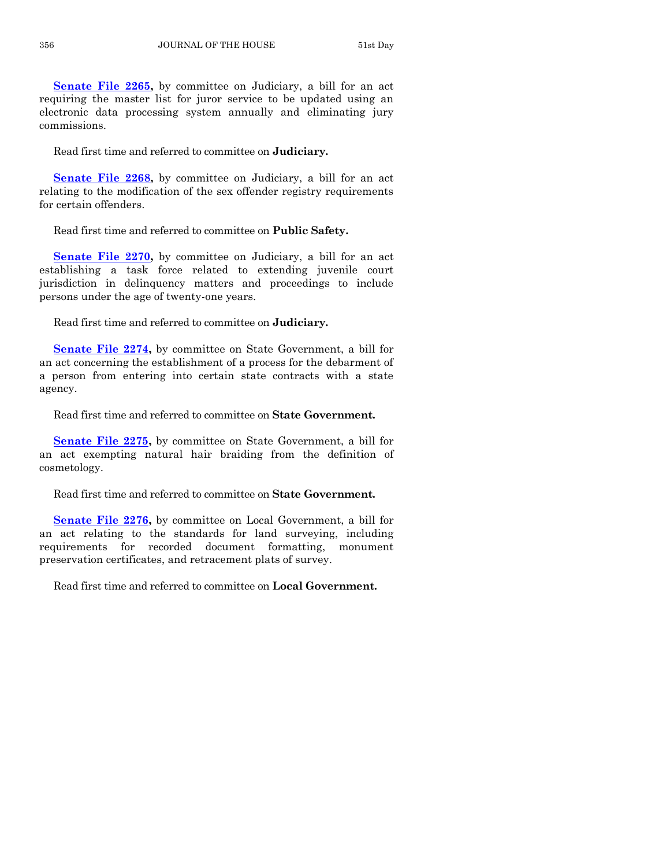**[Senate File 2265,](http://coolice.legis.iowa.gov/Cool-ICE/default.asp?Category=billinfo&Service=Billbook&frame=1&GA=86&hbill=SF2265)** by committee on Judiciary, a bill for an act requiring the master list for juror service to be updated using an electronic data processing system annually and eliminating jury commissions.

Read first time and referred to committee on **Judiciary.**

**[Senate File 2268,](http://coolice.legis.iowa.gov/Cool-ICE/default.asp?Category=billinfo&Service=Billbook&frame=1&GA=86&hbill=SF2268)** by committee on Judiciary, a bill for an act relating to the modification of the sex offender registry requirements for certain offenders.

Read first time and referred to committee on **Public Safety.**

**[Senate File 2270,](http://coolice.legis.iowa.gov/Cool-ICE/default.asp?Category=billinfo&Service=Billbook&frame=1&GA=86&hbill=SF2270)** by committee on Judiciary, a bill for an act establishing a task force related to extending juvenile court jurisdiction in delinquency matters and proceedings to include persons under the age of twenty-one years.

Read first time and referred to committee on **Judiciary.**

**[Senate File 2274,](http://coolice.legis.iowa.gov/Cool-ICE/default.asp?Category=billinfo&Service=Billbook&frame=1&GA=86&hbill=SF2274)** by committee on State Government, a bill for an act concerning the establishment of a process for the debarment of a person from entering into certain state contracts with a state agency.

Read first time and referred to committee on **State Government.**

**[Senate File 2275,](http://coolice.legis.iowa.gov/Cool-ICE/default.asp?Category=billinfo&Service=Billbook&frame=1&GA=86&hbill=SF2275)** by committee on State Government, a bill for an act exempting natural hair braiding from the definition of cosmetology.

Read first time and referred to committee on **State Government.**

**[Senate File 2276,](http://coolice.legis.iowa.gov/Cool-ICE/default.asp?Category=billinfo&Service=Billbook&frame=1&GA=86&hbill=SF2276)** by committee on Local Government, a bill for an act relating to the standards for land surveying, including requirements for recorded document formatting, monument preservation certificates, and retracement plats of survey.

Read first time and referred to committee on **Local Government.**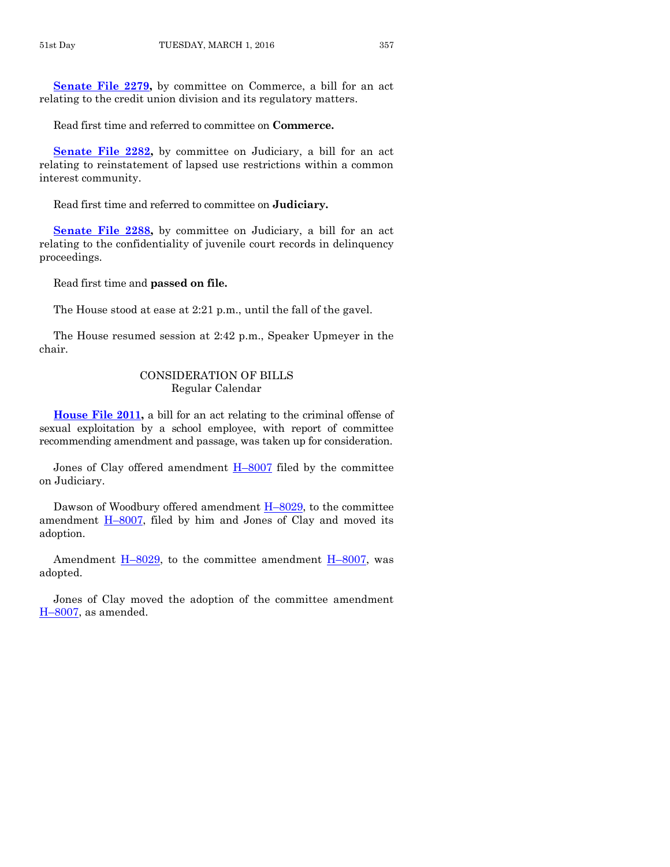**[Senate File 2279,](http://coolice.legis.iowa.gov/Cool-ICE/default.asp?Category=billinfo&Service=Billbook&frame=1&GA=86&hbill=SF2279)** by committee on Commerce, a bill for an act relating to the credit union division and its regulatory matters.

Read first time and referred to committee on **Commerce.**

**[Senate File 2282,](http://coolice.legis.iowa.gov/Cool-ICE/default.asp?Category=billinfo&Service=Billbook&frame=1&GA=86&hbill=SF2282)** by committee on Judiciary, a bill for an act relating to reinstatement of lapsed use restrictions within a common interest community.

Read first time and referred to committee on **Judiciary.**

**[Senate File 2288,](http://coolice.legis.iowa.gov/Cool-ICE/default.asp?Category=billinfo&Service=Billbook&frame=1&GA=86&hbill=SF2288)** by committee on Judiciary, a bill for an act relating to the confidentiality of juvenile court records in delinquency proceedings.

Read first time and **passed on file.**

The House stood at ease at 2:21 p.m., until the fall of the gavel.

The House resumed session at 2:42 p.m., Speaker Upmeyer in the chair.

#### CONSIDERATION OF BILLS Regular Calendar

**[House File 2011,](http://coolice.legis.iowa.gov/Cool-ICE/default.asp?Category=billinfo&Service=Billbook&frame=1&GA=86&hbill=HF2011)** a bill for an act relating to the criminal offense of sexual exploitation by a school employee, with report of committee recommending amendment and passage, was taken up for consideration.

Jones of Clay offered amendment  $H$ –[8007](http://coolice.legis.iowa.gov/Cool-ICE/default.asp?Category=billinfo&Service=Billbook&frame=1&GA=86&hbill=H8007) filed by the committee on Judiciary.

Dawson of Woodbury offered amendment H–[8029,](http://coolice.legis.iowa.gov/Cool-ICE/default.asp?Category=billinfo&Service=Billbook&frame=1&GA=86&hbill=H8029) to the committee amendment H–[8007,](http://coolice.legis.iowa.gov/Cool-ICE/default.asp?Category=billinfo&Service=Billbook&frame=1&GA=86&hbill=H8007) filed by him and Jones of Clay and moved its adoption.

Amendment  $H$ –[8029,](http://coolice.legis.iowa.gov/Cool-ICE/default.asp?Category=billinfo&Service=Billbook&frame=1&GA=86&hbill=H8029) to the committee amendment  $H$ –[8007,](http://coolice.legis.iowa.gov/Cool-ICE/default.asp?Category=billinfo&Service=Billbook&frame=1&GA=86&hbill=H8007) was adopted.

Jones of Clay moved the adoption of the committee amendment H–[8007,](http://coolice.legis.iowa.gov/Cool-ICE/default.asp?Category=billinfo&Service=Billbook&frame=1&GA=86&hbill=H8007) as amended.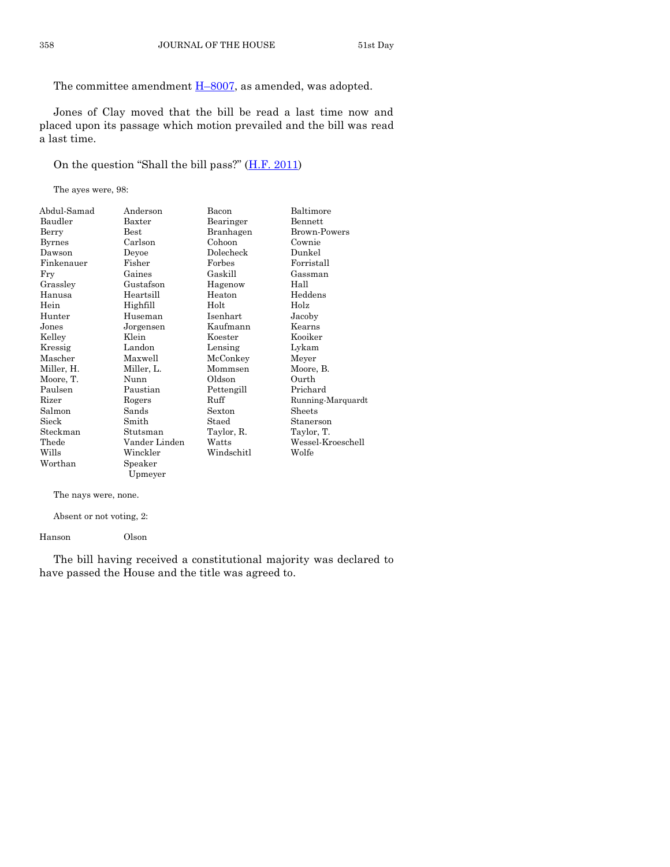The committee amendment  $H-8007$ , as amended, was adopted.

Jones of Clay moved that the bill be read a last time now and placed upon its passage which motion prevailed and the bill was read a last time.

On the question "Shall the bill pass?" ([H.F. 2011\)](http://coolice.legis.iowa.gov/Cool-ICE/default.asp?Category=billinfo&Service=Billbook&frame=1&GA=86&hbill=HF2011)

The ayes were, 98:

| Abdul-Samad   | Anderson      | Bacon      | Baltimore           |
|---------------|---------------|------------|---------------------|
| Baudler       | Baxter        | Bearinger  | <b>Bennett</b>      |
| Berry         | <b>Best</b>   | Branhagen  | <b>Brown-Powers</b> |
| <b>Byrnes</b> | Carlson       | Cohoon     | Cownie              |
| Dawson        | Deyoe         | Dolecheck  | Dunkel              |
| Finkenauer    | Fisher        | Forbes     | Forristall          |
| Fry           | Gaines        | Gaskill    | Gassman             |
| Grassley      | Gustafson     | Hagenow    | Hall                |
| Hanusa        | Heartsill     | Heaton     | Heddens             |
| Hein          | Highfill      | Holt       | Holz                |
| Hunter        | Huseman       | Isenhart   | Jacoby              |
| Jones         | Jorgensen     | Kaufmann   | Kearns              |
| Kelley        | Klein         | Koester    | Kooiker             |
| Kressig       | Landon        | Lensing    | Lykam               |
| Mascher       | Maxwell       | McConkey   | Meyer               |
| Miller, H.    | Miller, L.    | Mommsen    | Moore, B.           |
| Moore, T.     | Nunn          | Oldson     | Ourth               |
| Paulsen       | Paustian      | Pettengill | Prichard            |
| Rizer         | Rogers        | Ruff       | Running-Marquardt   |
| Salmon        | Sands         | Sexton     | Sheets              |
| Sieck         | Smith         | Staed      | Stanerson           |
| Steckman      | Stutsman      | Taylor, R. | Taylor, T.          |
| Thede         | Vander Linden | Watts      | Wessel-Kroeschell   |
| Wills         | Winckler      | Windschitl | Wolfe               |
| Worthan       | Speaker       |            |                     |
|               | Upmeyer       |            |                     |

The nays were, none.

Absent or not voting, 2:

Hanson Olson

The bill having received a constitutional majority was declared to have passed the House and the title was agreed to.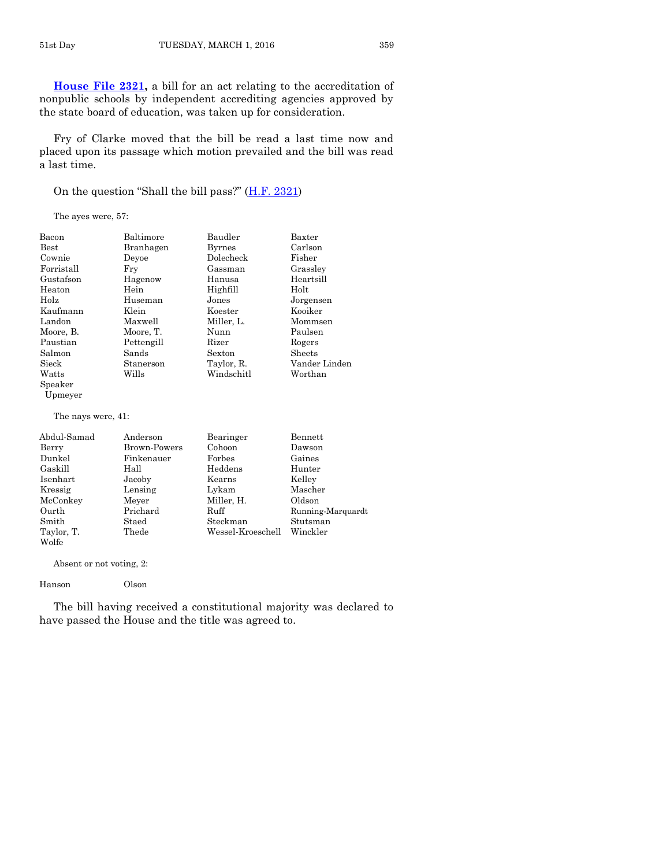**[House File 2321,](http://coolice.legis.iowa.gov/Cool-ICE/default.asp?Category=billinfo&Service=Billbook&frame=1&GA=86&hbill=HF2321)** a bill for an act relating to the accreditation of nonpublic schools by independent accrediting agencies approved by the state board of education, was taken up for consideration.

Fry of Clarke moved that the bill be read a last time now and placed upon its passage which motion prevailed and the bill was read a last time.

On the question "Shall the bill pass?" ([H.F. 2321\)](http://coolice.legis.iowa.gov/Cool-ICE/default.asp?Category=billinfo&Service=Billbook&frame=1&GA=86&hbill=HF2321)

The ayes were, 57:

| Bacon              | Baltimore    | Baudler       | Baxter        |
|--------------------|--------------|---------------|---------------|
| $_{\rm Best}$      | Branhagen    | Byrnes        | Carlson       |
| Cownie             | Devoe        | Dolecheck     | Fisher        |
| Forristall         | Fry          | Gassman       | Grassley      |
| Gustafson          | Hagenow      | Hanusa        | Heartsill     |
| Heaton             | Hein         | Highfill      | Holt          |
| Holz               | Huseman      | Jones         | Jorgensen     |
| Kaufmann           | Klein        | Koester       | Kooiker       |
| Landon             | Maxwell      | Miller, L.    | Mommsen       |
| Moore, B.          | Moore, T.    | Nunn          | Paulsen       |
| Paustian           | Pettengill   | Rizer         | Rogers        |
| Salmon             | Sands        | Sexton        | Sheets        |
| Sieck              | Stanerson    | Taylor, R.    | Vander Linden |
| Watts              | Wills        | Windschitl    | Worthan       |
| Speaker            |              |               |               |
| Upmeyer            |              |               |               |
| The nays were, 41: |              |               |               |
| Abdul-Samad        | Anderson     | Bearinger     | Bennett       |
| Berry              | Brown-Powers | Cohoon        | Dawson        |
| Dunkel             | Finkenauer   | $\rm{Forbes}$ | Gaines        |
|                    |              |               |               |

| Dunkel     | Finkenauer | Forbes            | Gaines            |
|------------|------------|-------------------|-------------------|
| Gaskill    | Hall       | Heddens           | Hunter            |
| Isenhart   | Jacoby     | Kearns            | Kelley            |
| Kressig    | Lensing    | Lykam             | Mascher           |
| McConkey   | Meyer      | Miller, H.        | Oldson            |
| Ourth      | Prichard   | Ruff              | Running-Marquardt |
| Smith      | Staed      | Steckman          | Stutsman          |
| Taylor, T. | Thede      | Wessel-Kroeschell | Winckler          |
| Wolfe      |            |                   |                   |

Absent or not voting, 2:

Hanson Olson

The bill having received a constitutional majority was declared to have passed the House and the title was agreed to.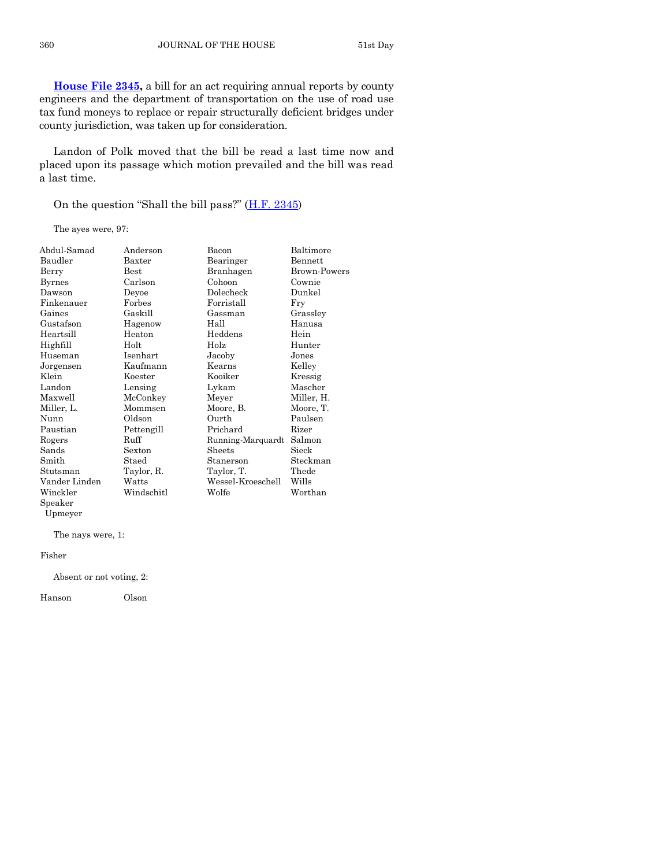**[House File 2345,](http://coolice.legis.iowa.gov/Cool-ICE/default.asp?Category=billinfo&Service=Billbook&frame=1&GA=86&hbill=HF2345)** a bill for an act requiring annual reports by county engineers and the department of transportation on the use of road use tax fund moneys to replace or repair structurally deficient bridges under county jurisdiction, was taken up for consideration.

Landon of Polk moved that the bill be read a last time now and placed upon its passage which motion prevailed and the bill was read a last time.

On the question "Shall the bill pass?" ([H.F. 2345\)](http://coolice.legis.iowa.gov/Cool-ICE/default.asp?Category=billinfo&Service=Billbook&frame=1&GA=86&hbill=HF2345)

The ayes were, 97:

| Abdul-Samad   | Anderson         | Bacon             | Baltimore           |
|---------------|------------------|-------------------|---------------------|
| Baudler       | $_{\rm{Baxter}}$ | Bearinger         | Bennett             |
| Berry         | $_{\rm Best}$    | Branhagen         | <b>Brown-Powers</b> |
| <b>Byrnes</b> | Carlson          | Cohoon            | Cownie              |
| Dawson        | Deyoe            | Dolecheck         | Dunkel              |
| Finkenauer    | Forbes           | Forristall        | Fry                 |
| Gaines        | Gaskill          | Gassman           | Grassley            |
| Gustafson     | Hagenow          | Hall              | Hanusa              |
| Heartsill     | Heaton           | Heddens           | Hein                |
| Highfill      | Holt             | Holz              | Hunter              |
| Huseman       | Isenhart         | Jacoby            | Jones               |
| Jorgensen     | Kaufmann         | Kearns            | Kelley              |
| Klein         | Koester          | Kooiker           | Kressig             |
| Landon        | Lensing          | Lykam             | Mascher             |
| Maxwell       | McConkey         | Meyer             | Miller, H.          |
| Miller, L.    | Mommsen          | Moore, B.         | Moore, T.           |
| Nunn          | Oldson           | Ourth             | Paulsen             |
| Paustian      | Pettengill       | Prichard          | Rizer               |
| Rogers        | Ruff             | Running-Marquardt | Salmon              |
| Sands         | Sexton           | Sheets            | Sieck               |
| Smith         | Staed            | Stanerson         | Steckman            |
| Stutsman      | Taylor, R.       | Taylor, T.        | Thede               |
| Vander Linden | Watts            | Wessel-Kroeschell | Wills               |
| Winckler      | Windschitl       | Wolfe             | Worthan             |
| Speaker       |                  |                   |                     |

Upmeyer

The nays were, 1:

#### Fisher

Absent or not voting, 2:

Hanson Olson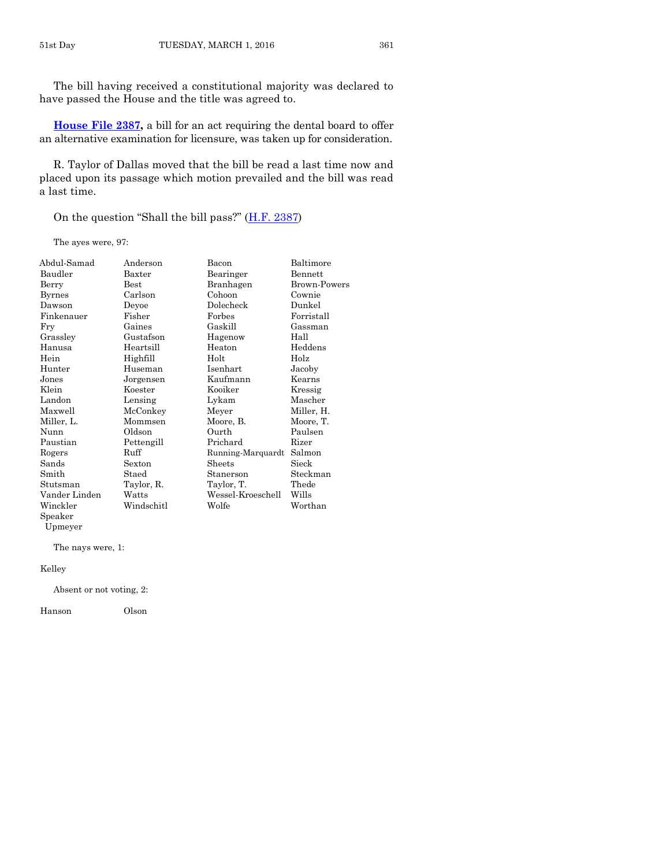The bill having received a constitutional majority was declared to have passed the House and the title was agreed to.

**[House File 2387,](http://coolice.legis.iowa.gov/Cool-ICE/default.asp?Category=billinfo&Service=Billbook&frame=1&GA=86&hbill=HF2387)** a bill for an act requiring the dental board to offer an alternative examination for licensure, was taken up for consideration.

R. Taylor of Dallas moved that the bill be read a last time now and placed upon its passage which motion prevailed and the bill was read a last time.

On the question "Shall the bill pass?" ([H.F. 2387\)](http://coolice.legis.iowa.gov/Cool-ICE/default.asp?Category=billinfo&Service=Billbook&frame=1&GA=86&hbill=HF2387)

The ayes were, 97:

| Abdul-Samad   | Anderson   | Bacon             | Baltimore      |
|---------------|------------|-------------------|----------------|
| Baudler       | Baxter     | Bearinger         | <b>Bennett</b> |
| Berry         | Best       | Branhagen         | Brown-Powers   |
| <b>Byrnes</b> | Carlson    | Cohoon            | Cownie         |
| Dawson        | Deyoe      | Dolecheck         | Dunkel         |
| Finkenauer    | Fisher     | Forbes            | Forristall     |
| Fry           | Gaines     | Gaskill           | Gassman        |
| Grassley      | Gustafson  | Hagenow           | Hall           |
| Hanusa        | Heartsill  | Heaton            | Heddens        |
| Hein          | Highfill   | Holt              | Holz           |
| Hunter        | Huseman    | Isenhart          | Jacoby         |
| Jones         | Jorgensen  | Kaufmann          | Kearns         |
| Klein         | Koester    | Kooiker           | Kressig        |
| Landon        | Lensing    | Lykam             | Mascher        |
| Maxwell       | McConkey   | Meyer             | Miller, H.     |
| Miller, L.    | Mommsen    | Moore, B.         | Moore, T.      |
| Nunn          | Oldson     | Ourth             | Paulsen        |
| Paustian      | Pettengill | Prichard          | Rizer          |
| Rogers        | Ruff       | Running-Marquardt | Salmon         |
| Sands         | Sexton     | Sheets            | Sieck          |
| Smith         | Staed      | Stanerson         | Steckman       |
| Stutsman      | Taylor, R. | Taylor, T.        | Thede          |
| Vander Linden | Watts      | Wessel-Kroeschell | Wills          |
| Winckler      | Windschitl | Wolfe             | Worthan        |
| $S$ peaker    |            |                   |                |
| Upmeyer       |            |                   |                |

The nays were, 1:

Kelley

Absent or not voting, 2:

Hanson Olson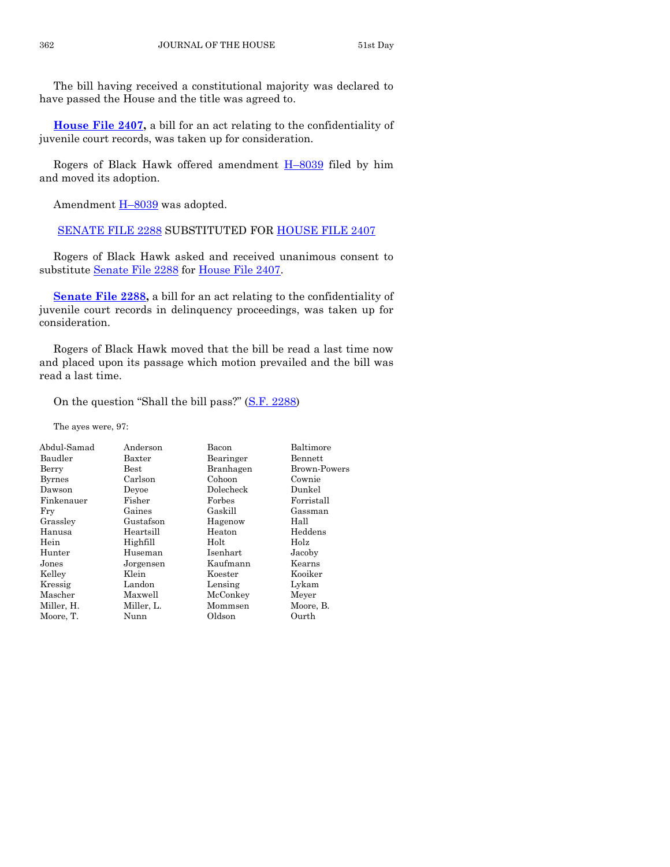The bill having received a constitutional majority was declared to have passed the House and the title was agreed to.

**[House File 2407,](http://coolice.legis.iowa.gov/Cool-ICE/default.asp?Category=billinfo&Service=Billbook&frame=1&GA=86&hbill=HF2407)** a bill for an act relating to the confidentiality of juvenile court records, was taken up for consideration.

Rogers of Black Hawk offered amendment H–[8039](http://coolice.legis.iowa.gov/Cool-ICE/default.asp?Category=billinfo&Service=Billbook&frame=1&GA=86&hbill=H8039) filed by him and moved its adoption.

Amendment H-[8039](http://coolice.legis.iowa.gov/Cool-ICE/default.asp?Category=billinfo&Service=Billbook&frame=1&GA=86&hbill=H8039) was adopted.

[SENATE FILE 2288](http://coolice.legis.iowa.gov/Cool-ICE/default.asp?Category=billinfo&Service=Billbook&frame=1&GA=86&hbill=SF2288) SUBSTITUTED FOR [HOUSE FILE 2407](http://coolice.legis.iowa.gov/Cool-ICE/default.asp?Category=billinfo&Service=Billbook&frame=1&GA=86&hbill=HF2407)

Rogers of Black Hawk asked and received unanimous consent to substitute [Senate File 2288](http://coolice.legis.iowa.gov/Cool-ICE/default.asp?Category=billinfo&Service=Billbook&frame=1&GA=86&hbill=SF2288) for [House File 2407.](http://coolice.legis.iowa.gov/Cool-ICE/default.asp?Category=billinfo&Service=Billbook&frame=1&GA=86&hbill=HF2407)

**[Senate File 2288,](http://coolice.legis.iowa.gov/Cool-ICE/default.asp?Category=billinfo&Service=Billbook&frame=1&GA=86&hbill=SF2288)** a bill for an act relating to the confidentiality of juvenile court records in delinquency proceedings, was taken up for consideration.

Rogers of Black Hawk moved that the bill be read a last time now and placed upon its passage which motion prevailed and the bill was read a last time.

On the question "Shall the bill pass?"  $(S.F. 2288)$  $(S.F. 2288)$ 

| Abdul-Samad   | Anderson      | Bacon     | Baltimore           |
|---------------|---------------|-----------|---------------------|
| Baudler       | Baxter        | Bearinger | Bennett             |
| Berry         | $_{\rm Best}$ | Branhagen | <b>Brown-Powers</b> |
| <b>Byrnes</b> | Carlson       | Cohoon    | Cownie              |
| Dawson        | Devoe         | Dolecheck | Dunkel              |
| Finkenauer    | Fisher        | Forbes    | Forristall          |
| Fry           | Gaines        | Gaskill   | Gassman             |
| Grassley      | Gustafson     | Hagenow   | Hall                |
| Hanusa        | Heartsill     | Heaton    | Heddens             |
| Hein          | Highfill      | Holt      | Holz                |
| Hunter        | Huseman       | Isenhart  | Jacoby              |
| Jones         | Jorgensen     | Kaufmann  | Kearns              |
| Kelley        | Klein         | Koester   | Kooiker             |
| Kressig       | Landon        | Lensing   | Lykam               |
| Mascher       | Maxwell       | McConkey  | Meyer               |
| Miller, H.    | Miller, L.    | Mommsen   | Moore, B.           |
| Moore, T.     | Nunn          | Oldson    | Ourth               |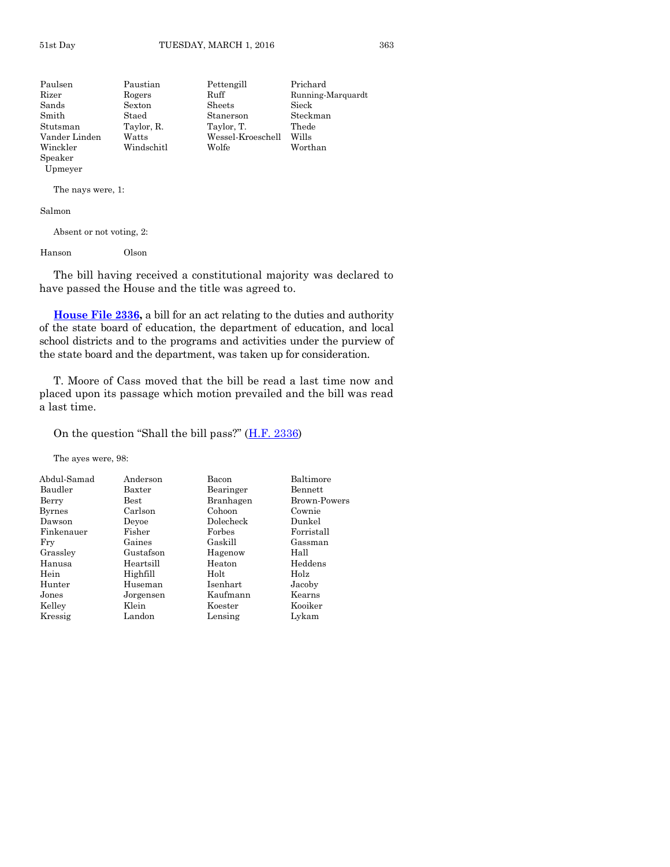| Paulsen          | Paustian   | Pettengill        | Prichard          |
|------------------|------------|-------------------|-------------------|
| Rizer            | Rogers     | Ruff              | Running-Marquardt |
| Sands            | Sexton     | Sheets            | Sieck             |
| Smith            | Staed      | Stanerson         | Steckman          |
| Stutsman         | Taylor, R. | Taylor, T.        | Thede             |
| Vander Linden    | Watts      | Wessel-Kroeschell | Wills             |
| Winckler         | Windschitl | Wolfe             | Worthan           |
| $_{\rm Speaker}$ |            |                   |                   |

The nays were, 1:

Salmon

Upmeyer

Absent or not voting, 2:

Hanson Olson

The bill having received a constitutional majority was declared to have passed the House and the title was agreed to.

**[House File 2336,](http://coolice.legis.iowa.gov/Cool-ICE/default.asp?Category=billinfo&Service=Billbook&frame=1&GA=86&hbill=HF2336)** a bill for an act relating to the duties and authority of the state board of education, the department of education, and local school districts and to the programs and activities under the purview of the state board and the department, was taken up for consideration.

T. Moore of Cass moved that the bill be read a last time now and placed upon its passage which motion prevailed and the bill was read a last time.

On the question "Shall the bill pass?" ([H.F. 2336\)](http://coolice.legis.iowa.gov/Cool-ICE/default.asp?Category=billinfo&Service=Billbook&frame=1&GA=86&hbill=HF2336)

| Abdul-Samad<br>Baudler | Anderson<br>Baxter | Bacon<br>Bearinger | Baltimore<br><b>Bennett</b> |
|------------------------|--------------------|--------------------|-----------------------------|
| Berry                  | Best               | Branhagen          | Brown-Powers                |
| <b>Byrnes</b>          | Carlson            | Cohoon             | Cownie                      |
| Dawson                 | Devoe              | Dolecheck          | Dunkel                      |
| Finkenauer             | Fisher             | Forbes             | Forristall                  |
| Fry                    | Gaines             | Gaskill            | Gassman                     |
| Grassley               | Gustafson          | Hagenow            | Hall                        |
| Hanusa                 | Heartsill          | Heaton             | Heddens                     |
| Hein                   | Highfill           | Holt               | Holz                        |
| Hunter                 | Huseman            | Isenhart           | Jacoby                      |
| Jones                  | Jorgensen          | Kaufmann           | Kearns                      |
| Kelley                 | Klein              | Koester            | Kooiker                     |
| Kressig                | Landon             | Lensing            | Lvkam                       |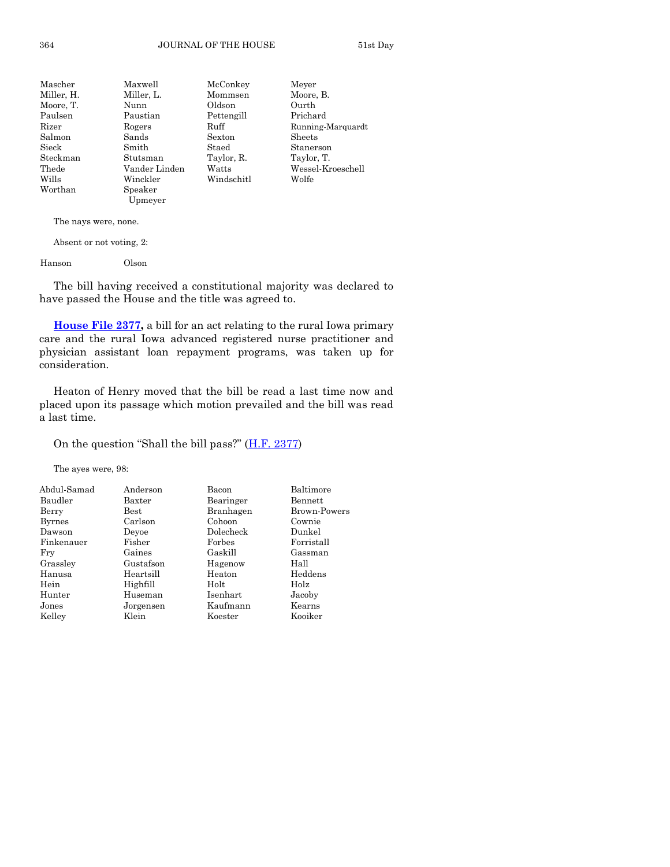| Mascher    | Maxwell       | McConkey   | Meyer             |
|------------|---------------|------------|-------------------|
| Miller, H. | Miller, L.    | Mommsen    | Moore, B.         |
| Moore, T.  | Nunn          | Oldson     | Ourth             |
| Paulsen    | Paustian      | Pettengill | Prichard          |
| Rizer      | Rogers        | Ruff       | Running-Marquardt |
| Salmon     | Sands         | Sexton     | Sheets            |
| Sieck      | Smith         | Staed      | Stanerson         |
| Steckman   | Stutsman      | Taylor, R. | Taylor, T.        |
| Thede      | Vander Linden | Watts      | Wessel-Kroeschell |
| Wills      | Winckler      | Windschitl | Wolfe             |
| Worthan    | Speaker       |            |                   |
|            | Upmeyer       |            |                   |

Absent or not voting, 2:

Hanson Olson

The bill having received a constitutional majority was declared to have passed the House and the title was agreed to.

**[House File 2377,](http://coolice.legis.iowa.gov/Cool-ICE/default.asp?Category=billinfo&Service=Billbook&frame=1&GA=86&hbill=HF2377)** a bill for an act relating to the rural Iowa primary care and the rural Iowa advanced registered nurse practitioner and physician assistant loan repayment programs, was taken up for consideration.

Heaton of Henry moved that the bill be read a last time now and placed upon its passage which motion prevailed and the bill was read a last time.

#### On the question "Shall the bill pass?" ([H.F. 2377\)](http://coolice.legis.iowa.gov/Cool-ICE/default.asp?Category=billinfo&Service=Billbook&frame=1&GA=86&hbill=HF2377)

| Abdul-Samad   | Anderson      | Bacon     | Baltimore    |
|---------------|---------------|-----------|--------------|
| Baudler       | Baxter        | Bearinger | Bennett      |
| Berry         | $_{\rm Best}$ | Branhagen | Brown-Powers |
| <b>Byrnes</b> | Carlson       | Cohoon    | Cownie       |
| Dawson        | Devoe         | Dolecheck | Dunkel       |
| Finkenauer    | Fisher        | Forbes    | Forristall   |
| Fry           | Gaines        | Gaskill   | Gassman      |
| Grassley      | Gustafson     | Hagenow   | Hall         |
| Hanusa        | Heartsill     | Heaton    | Heddens      |
| Hein          | Highfill      | Holt      | Holz         |
| Hunter        | Huseman       | Isenhart  | Jacoby       |
| Jones         | Jorgensen     | Kaufmann  | Kearns       |
| Kelley        | Klein         | Koester   | Kooiker      |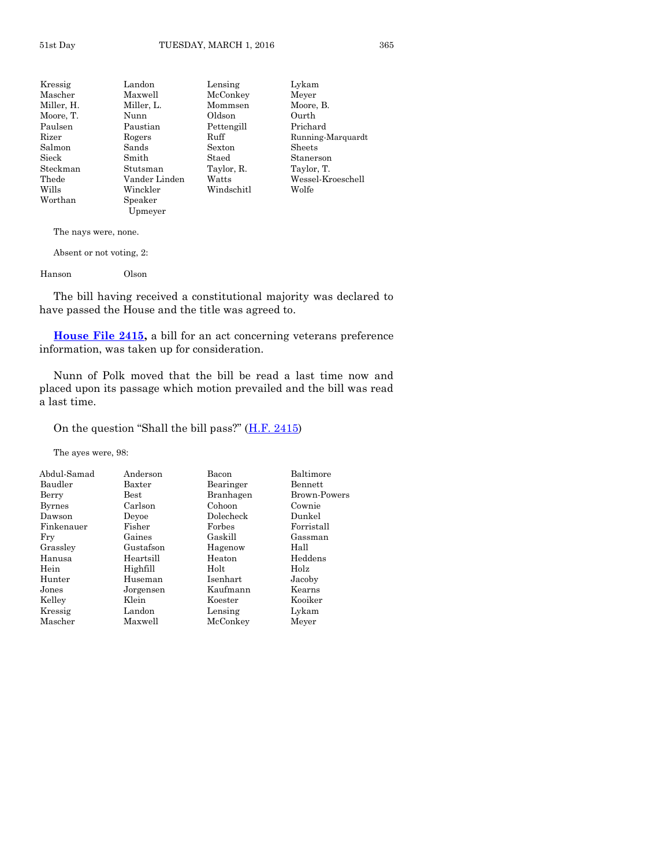| Kressig             | Landon        | Lensing    | Lykam             |
|---------------------|---------------|------------|-------------------|
| Mascher             | Maxwell       | McConkey   | Meyer             |
| Miller, H.          | Miller, L.    | Mommsen    | Moore, B.         |
| Moore, T.           | Nunn          | Oldson     | Ourth             |
| Paulsen             | Paustian      | Pettengill | Prichard          |
| Rizer               | Rogers        | Ruff       | Running-Marquardt |
| Salmon              | Sands         | Sexton     | Sheets            |
| $_{\mathrm{Sieck}}$ | Smith         | Staed      | Stanerson         |
| Steckman            | Stutsman      | Taylor, R. | Taylor, T.        |
| Thede               | Vander Linden | Watts      | Wessel-Kroeschell |
| Wills               | Winckler      | Windschitl | Wolfe             |
| Worthan             | Speaker       |            |                   |
|                     | Upmeyer       |            |                   |
|                     |               |            |                   |

Absent or not voting, 2:

Hanson Olson

The bill having received a constitutional majority was declared to have passed the House and the title was agreed to.

**[House File 2415,](http://coolice.legis.iowa.gov/Cool-ICE/default.asp?Category=billinfo&Service=Billbook&frame=1&GA=86&hbill=HF2415)** a bill for an act concerning veterans preference information, was taken up for consideration.

Nunn of Polk moved that the bill be read a last time now and placed upon its passage which motion prevailed and the bill was read a last time.

On the question "Shall the bill pass?"  $(H.F. 2415)$  $(H.F. 2415)$ 

| Anderson  | Bacon           | Baltimore    |
|-----------|-----------------|--------------|
| Baxter    | Bearinger       | Bennett      |
| Best      | Branhagen       | Brown-Powers |
| Carlson   | Cohoon          | Cownie       |
| Devoe     | Dolecheck       | Dunkel       |
| Fisher    | Forbes          | Forristall   |
| Gaines    | Gaskill         | Gassman      |
| Gustafson | Hagenow         | Hall         |
| Heartsill | Heaton          | Heddens      |
| Highfill  | Holt            | Holz         |
| Huseman   | <b>Isenhart</b> | Jacoby       |
| Jorgensen | Kaufmann        | Kearns       |
| Klein     | Koester         | Kooiker      |
| Landon    | Lensing         | Lykam        |
| Maxwell   | McConkey        | Meyer        |
|           |                 |              |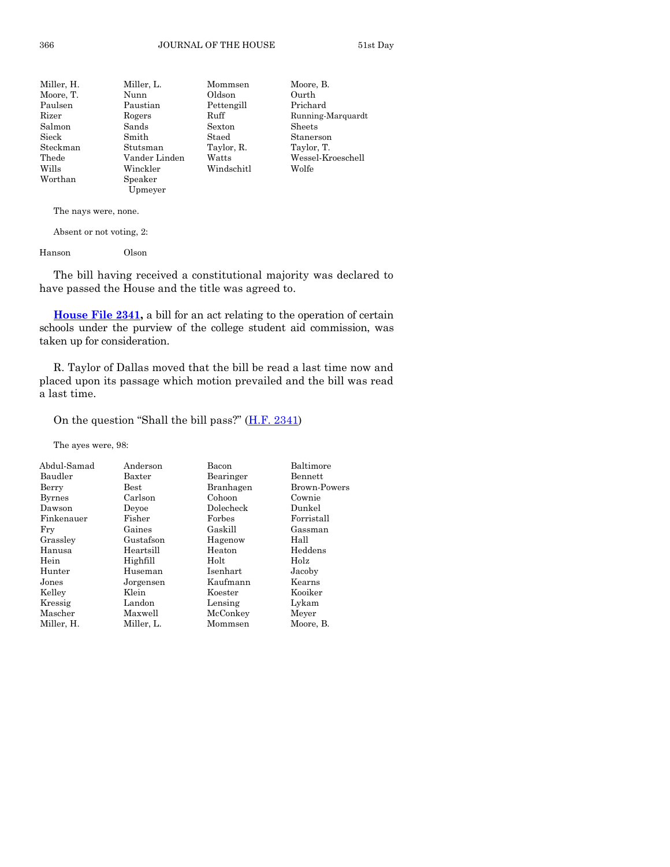| Miller, H.             | Miller, L.    | Mommsen    | Moore, B.         |
|------------------------|---------------|------------|-------------------|
| Moore, T.              | Nunn          | Oldson     | Ourth             |
| Paulsen                | Paustian      | Pettengill | Prichard          |
| Rizer                  | Rogers        | Ruff       | Running-Marquardt |
| Salmon                 | Sands         | Sexton     | Sheets            |
| $\operatorname{Sieck}$ | Smith         | Staed      | Stanerson         |
| Steckman               | Stutsman      | Taylor, R. | Taylor, T.        |
| Thede                  | Vander Linden | Watts      | Wessel-Kroeschell |
| Wills                  | Winckler      | Windschitl | Wolfe             |
| Worthan                | Speaker       |            |                   |
|                        | Upmever       |            |                   |

Absent or not voting, 2:

Hanson Olson

The bill having received a constitutional majority was declared to have passed the House and the title was agreed to.

**[House File 2341,](http://coolice.legis.iowa.gov/Cool-ICE/default.asp?Category=billinfo&Service=Billbook&frame=1&GA=86&hbill=HF2341)** a bill for an act relating to the operation of certain schools under the purview of the college student aid commission, was taken up for consideration.

R. Taylor of Dallas moved that the bill be read a last time now and placed upon its passage which motion prevailed and the bill was read a last time.

On the question "Shall the bill pass?" ([H.F. 2341\)](http://coolice.legis.iowa.gov/Cool-ICE/default.asp?Category=billinfo&Service=Billbook&frame=1&GA=86&hbill=HF2341)

| Abdul-Samad   | Anderson   | Bacon     | Baltimore      |
|---------------|------------|-----------|----------------|
| Baudler       | Baxter     | Bearinger | <b>Bennett</b> |
| Berry         | Best       | Branhagen | Brown-Powers   |
| <b>Byrnes</b> | Carlson    | Cohoon    | Cownie         |
| Dawson        | Devoe      | Dolecheck | Dunkel         |
| Finkenauer    | Fisher     | Forbes    | Forristall     |
| Fry           | Gaines     | Gaskill   | Gassman        |
| Grassley      | Gustafson  | Hagenow   | Hall           |
| Hanusa        | Heartsill  | Heaton    | Heddens        |
| Hein          | Highfill   | Holt      | Holz           |
| Hunter        | Huseman    | Isenhart  | Jacoby         |
| Jones         | Jorgensen  | Kaufmann  | Kearns         |
| Kelley        | Klein      | Koester   | Kooiker        |
| Kressig       | Landon     | Lensing   | Lykam          |
| Mascher       | Maxwell    | McConkey  | Meyer          |
| Miller, H.    | Miller, L. | Mommsen   | Moore, B.      |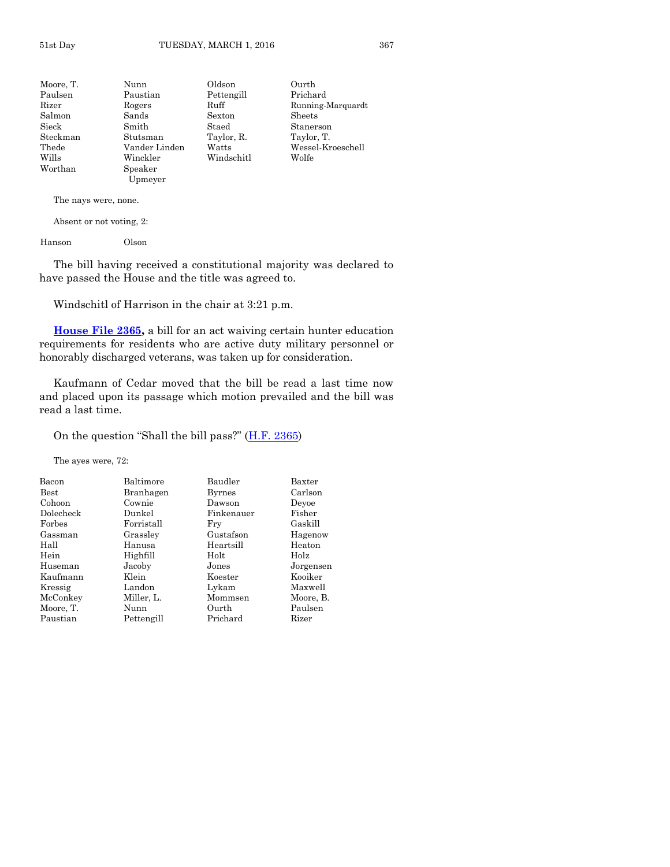| Moore, T.              | Nunn          | Oldson     | Ourth             |
|------------------------|---------------|------------|-------------------|
| Paulsen                | Paustian      | Pettengill | Prichard          |
| Rizer                  | Rogers        | Ruff       | Running-Marquardt |
| Salmon                 | Sands         | Sexton     | Sheets            |
| $\operatorname{Sieck}$ | Smith         | Staed      | Stanerson         |
| Steckman               | Stutsman      | Taylor, R. | Taylor, T.        |
| Thede                  | Vander Linden | Watts      | Wessel-Kroeschell |
| Wills                  | Winckler      | Windschitl | Wolfe             |
| Worthan                | Speaker       |            |                   |
|                        | Upmeyer       |            |                   |

Absent or not voting, 2:

Hanson Olson

The bill having received a constitutional majority was declared to have passed the House and the title was agreed to.

Windschitl of Harrison in the chair at 3:21 p.m.

**[House File 2365,](http://coolice.legis.iowa.gov/Cool-ICE/default.asp?Category=billinfo&Service=Billbook&frame=1&GA=86&hbill=HF2365)** a bill for an act waiving certain hunter education requirements for residents who are active duty military personnel or honorably discharged veterans, was taken up for consideration.

Kaufmann of Cedar moved that the bill be read a last time now and placed upon its passage which motion prevailed and the bill was read a last time.

On the question "Shall the bill pass?"  $(\underline{H.F. 2365})$ 

The ayes were, 72:

| Bacon       | Baltimore  | Baudler       | Baxter    |
|-------------|------------|---------------|-----------|
| <b>Best</b> | Branhagen  | <b>Byrnes</b> | Carlson   |
| Cohoon      | Cownie     | Dawson        | Devoe     |
| Dolecheck   | Dunkel     | Finkenauer    | Fisher    |
| Forbes      | Forristall | Fry           | Gaskill   |
| Gassman     | Grassley   | Gustafson     | Hagenow   |
| Hall        | Hanusa     | Heartsill     | Heaton    |
| Hein        | Highfill   | Holt          | Holz      |
| Huseman     | Jacoby     | Jones         | Jorgensen |
| Kaufmann    | Klein      | Koester       | Kooiker   |
| Kressig     | Landon     | Lykam         | Maxwell   |
| McConkey    | Miller, L. | Mommsen       | Moore, B. |
| Moore, T.   | Nunn       | Ourth         | Paulsen   |
| Paustian    | Pettengill | Prichard      | Rizer     |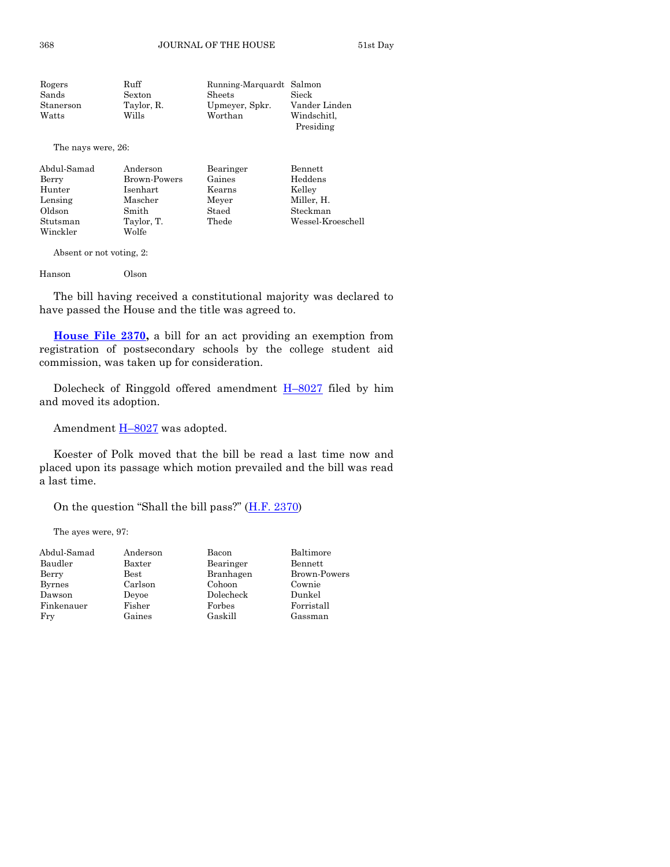| Rogers    | Ruff       | Running-Marquardt Salmon |                          |
|-----------|------------|--------------------------|--------------------------|
| Sands     | Sexton     | Sheets                   | Sieck                    |
| Stanerson | Taylor, R. | Upmeyer, Spkr.           | Vander Linden            |
| Watts     | Wills      | Worthan                  | Windschitl.<br>Presiding |
|           |            |                          |                          |

The nays were, 26:

| Abdul-Samad | Anderson     | Bearinger | Bennett           |
|-------------|--------------|-----------|-------------------|
| Berry       | Brown-Powers | Gaines    | Heddens           |
| Hunter      | Isenhart     | Kearns    | Kelley            |
| Lensing     | Mascher      | Meyer     | Miller, H.        |
| Oldson      | Smith        | Staed     | Steckman          |
| Stutsman    | Taylor, T.   | Thede     | Wessel-Kroeschell |
| Winckler    | Wolfe        |           |                   |

Absent or not voting, 2:

Hanson Olson

The bill having received a constitutional majority was declared to have passed the House and the title was agreed to.

**[House File 2370,](http://coolice.legis.iowa.gov/Cool-ICE/default.asp?Category=billinfo&Service=Billbook&frame=1&GA=86&hbill=HF2370)** a bill for an act providing an exemption from registration of postsecondary schools by the college student aid commission, was taken up for consideration.

Dolecheck of Ringgold offered amendment  $H-8027$  $H-8027$  filed by him and moved its adoption.

Amendment  $H-8027$  $H-8027$  was adopted.

Koester of Polk moved that the bill be read a last time now and placed upon its passage which motion prevailed and the bill was read a last time.

On the question "Shall the bill pass?" ([H.F. 2370\)](http://coolice.legis.iowa.gov/Cool-ICE/default.asp?Category=billinfo&Service=Billbook&frame=1&GA=86&hbill=HF2370)

| Abdul-Samad   | Anderson      | Bacon     | Baltimore           |
|---------------|---------------|-----------|---------------------|
| Baudler       | Baxter        | Bearinger | Bennett             |
| Berry         | $_{\rm Best}$ | Branhagen | <b>Brown-Powers</b> |
| <b>Byrnes</b> | Carlson       | Cohoon    | Cownie              |
| Dawson        | Devoe         | Dolecheck | Dunkel              |
| Finkenauer    | Fisher        | Forbes    | Forristall          |
| Fry           | Gaines        | Gaskill   | Gassman             |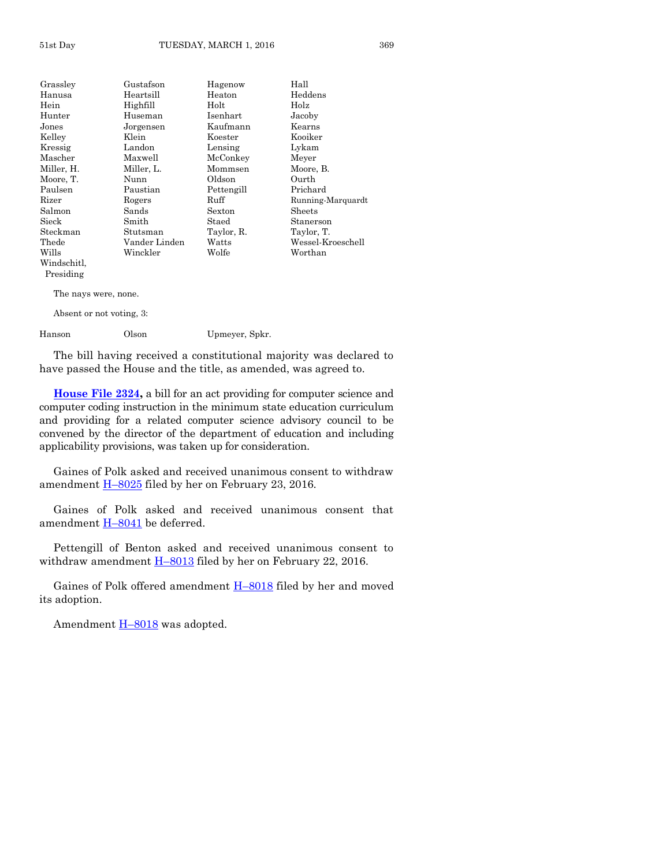| Grasslev    | Gustafson     | Hagenow    | Hall              |
|-------------|---------------|------------|-------------------|
| Hanusa      | Heartsill     | Heaton     | Heddens           |
| Hein        | Highfill      | Holt       | Holz              |
| Hunter      | Huseman       | Isenhart   | Jacoby            |
| Jones       | Jorgensen     | Kaufmann   | Kearns            |
| Kelley      | Klein         | Koester    | Kooiker           |
| Kressig     | Landon        | Lensing    | Lykam             |
| Mascher     | Maxwell       | McConkey   | Meyer             |
| Miller, H.  | Miller, L.    | Mommsen    | Moore, B.         |
| Moore, T.   | Nunn          | Oldson     | Ourth             |
| Paulsen     | Paustian      | Pettengill | Prichard          |
| Rizer       | Rogers        | Ruff       | Running-Marquardt |
| Salmon      | Sands         | Sexton     | Sheets            |
| Sieck       | Smith         | Staed      | Stanerson         |
| Steckman    | Stutsman      | Taylor, R. | Taylor, T.        |
| Thede       | Vander Linden | Watts      | Wessel-Kroeschell |
| Wills       | Winckler      | Wolfe      | Worthan           |
| Windschitl, |               |            |                   |

Presiding

Absent or not voting, 3:

Hanson Olson Upmeyer, Spkr.

The bill having received a constitutional majority was declared to have passed the House and the title, as amended, was agreed to.

**[House File 2324,](http://coolice.legis.iowa.gov/Cool-ICE/default.asp?Category=billinfo&Service=Billbook&frame=1&GA=86&hbill=HF2324)** a bill for an act providing for computer science and computer coding instruction in the minimum state education curriculum and providing for a related computer science advisory council to be convened by the director of the department of education and including applicability provisions, was taken up for consideration.

Gaines of Polk asked and received unanimous consent to withdraw amendment  $\underline{H-8025}$  $\underline{H-8025}$  $\underline{H-8025}$  filed by her on February 23, 2016.

Gaines of Polk asked and received unanimous consent that amendment  $H-8041$  $H-8041$  be deferred.

Pettengill of Benton asked and received unanimous consent to withdraw amendment  $H$ –[8013](http://coolice.legis.iowa.gov/Cool-ICE/default.asp?Category=billinfo&Service=Billbook&frame=1&GA=86&hbill=H8013) filed by her on February 22, 2016.

Gaines of Polk offered amendment H–[8018](http://coolice.legis.iowa.gov/Cool-ICE/default.asp?Category=billinfo&Service=Billbook&frame=1&GA=86&hbill=H8018) filed by her and moved its adoption.

Amendment **H**–[8018](http://coolice.legis.iowa.gov/Cool-ICE/default.asp?Category=billinfo&Service=Billbook&frame=1&GA=86&hbill=H8018) was adopted.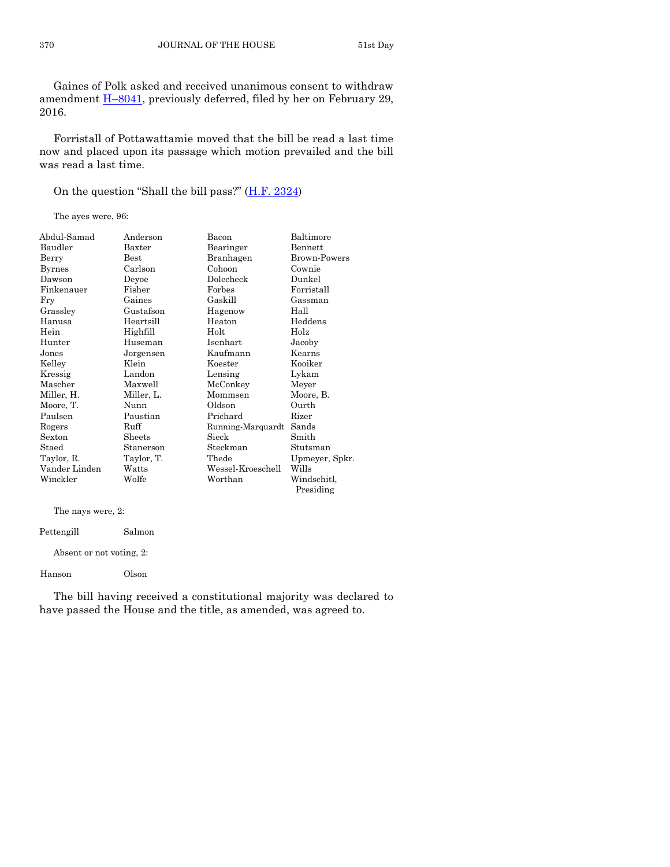Gaines of Polk asked and received unanimous consent to withdraw amendment **H**-[8041,](http://coolice.legis.iowa.gov/Cool-ICE/default.asp?Category=billinfo&Service=Billbook&frame=1&GA=86&hbill=H8041) previously deferred, filed by her on February 29, 2016.

Forristall of Pottawattamie moved that the bill be read a last time now and placed upon its passage which motion prevailed and the bill was read a last time.

On the question "Shall the bill pass?"  $(H.F. 2324)$  $(H.F. 2324)$ 

The ayes were, 96:

| Abdul-Samad   | Anderson      | Bacon             | Baltimore           |
|---------------|---------------|-------------------|---------------------|
| Baudler       | Baxter        | Bearinger         | Bennett             |
| Berry         | $_{\rm Best}$ | Branhagen         | <b>Brown-Powers</b> |
| Byrnes        | Carlson       | Cohoon            | Cownie              |
| Dawson        | Deyoe         | Dolecheck         | Dunkel              |
| Finkenauer    | Fisher        | Forbes            | Forristall          |
| Fry           | Gaines        | Gaskill           | Gassman             |
| Grassley      | Gustafson     | Hagenow           | Hall                |
| Hanusa        | Heartsill     | Heaton            | Heddens             |
| Hein          | Highfill      | Holt              | Holz                |
| Hunter        | Huseman       | Isenhart          | Jacoby              |
| Jones         | Jorgensen     | Kaufmann          | Kearns              |
| Kelley        | Klein         | Koester           | Kooiker             |
| Kressig       | Landon        | Lensing           | Lykam               |
| Mascher       | Maxwell       | McConkey          | Meyer               |
| Miller, H.    | Miller, L.    | Mommsen           | Moore, B.           |
| Moore, T.     | Nunn          | Oldson            | Ourth               |
| Paulsen       | Paustian      | Prichard          | Rizer               |
| Rogers        | Ruff          | Running-Marquardt | Sands               |
| Sexton        | Sheets        | Sieck             | Smith               |
| Staed         | Stanerson     | Steckman          | Stutsman            |
| Taylor, R.    | Taylor, T.    | Thede             | Upmeyer, Spkr.      |
| Vander Linden | Watts         | Wessel-Kroeschell | Wills               |
| Winckler      | Wolfe         | Worthan           | Windschitl.         |
|               |               |                   | Presiding           |

| The nays were, 2:        |        |  |
|--------------------------|--------|--|
| Pettengill               | Salmon |  |
| Absent or not voting, 2: |        |  |
| Hanson                   | Olson  |  |

The bill having received a constitutional majority was declared to have passed the House and the title, as amended, was agreed to.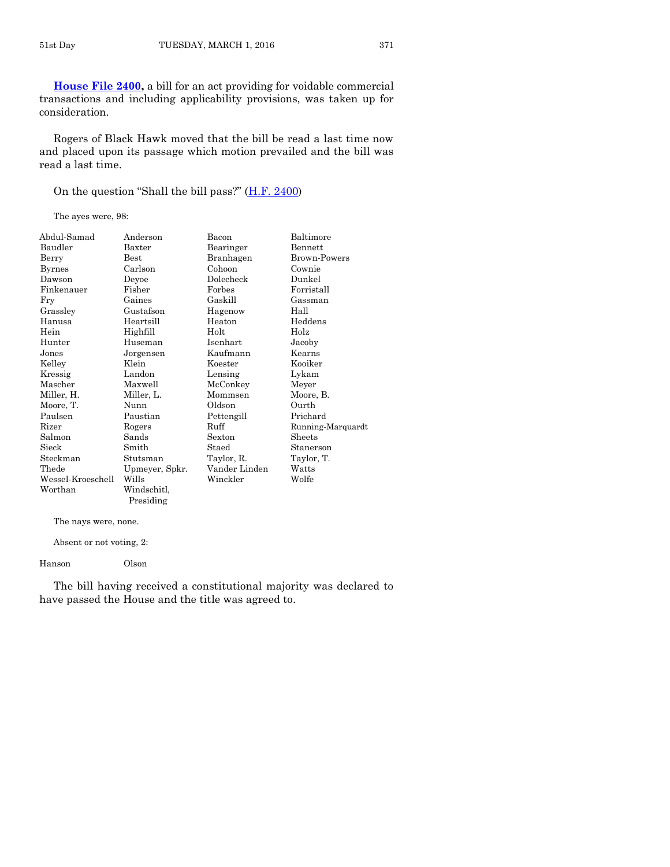**[House File 2400,](http://coolice.legis.iowa.gov/Cool-ICE/default.asp?Category=billinfo&Service=Billbook&frame=1&GA=86&hbill=HF2400)** a bill for an act providing for voidable commercial transactions and including applicability provisions, was taken up for consideration.

Rogers of Black Hawk moved that the bill be read a last time now and placed upon its passage which motion prevailed and the bill was read a last time.

On the question "Shall the bill pass?"  $(H.F. 2400)$  $(H.F. 2400)$ 

The ayes were, 98:

| Abdul-Samad       | Anderson       | Bacon           | Baltimore           |
|-------------------|----------------|-----------------|---------------------|
| Baudler           | Baxter         | Bearinger       | Bennett             |
| Berry             | <b>Best</b>    | Branhagen       | <b>Brown-Powers</b> |
| Byrnes            | Carlson        | Cohoon          | Cownie              |
| Dawson            | Deyoe          | Dolecheck       | Dunkel              |
| Finkenauer        | Fisher         | Forbes          | Forristall          |
| Fry               | Gaines         | Gaskill         | Gassman             |
| Grassley          | Gustafson      | Hagenow         | Hall                |
| Hanusa            | Heartsill      | Heaton          | Heddens             |
| Hein              | Highfill       | Holt            | Holz                |
| Hunter            | Huseman        | <b>Isenhart</b> | Jacoby              |
| Jones             | Jorgensen      | Kaufmann        | Kearns              |
| Kelley            | Klein          | Koester         | Kooiker             |
| Kressig           | Landon         | Lensing         | Lykam               |
| Mascher           | Maxwell        | McConkey        | Meyer               |
| Miller, H.        | Miller, L.     | Mommsen         | Moore, B.           |
| Moore, T.         | Nunn           | Oldson          | Ourth               |
| Paulsen           | Paustian       | Pettengill      | Prichard            |
| Rizer             | Rogers         | Ruff            | Running-Marquardt   |
| Salmon            | Sands          | Sexton          | Sheets              |
| Sieck             | Smith          | Staed           | Stanerson           |
| Steckman          | Stutsman       | Taylor, R.      | Taylor, T.          |
| Thede             | Upmeyer, Spkr. | Vander Linden   | Watts               |
| Wessel-Kroeschell | Wills          | Winckler        | Wolfe               |
| Worthan           | Windschitl,    |                 |                     |
|                   | Presiding      |                 |                     |

The nays were, none.

Absent or not voting, 2:

Hanson Olson

The bill having received a constitutional majority was declared to have passed the House and the title was agreed to.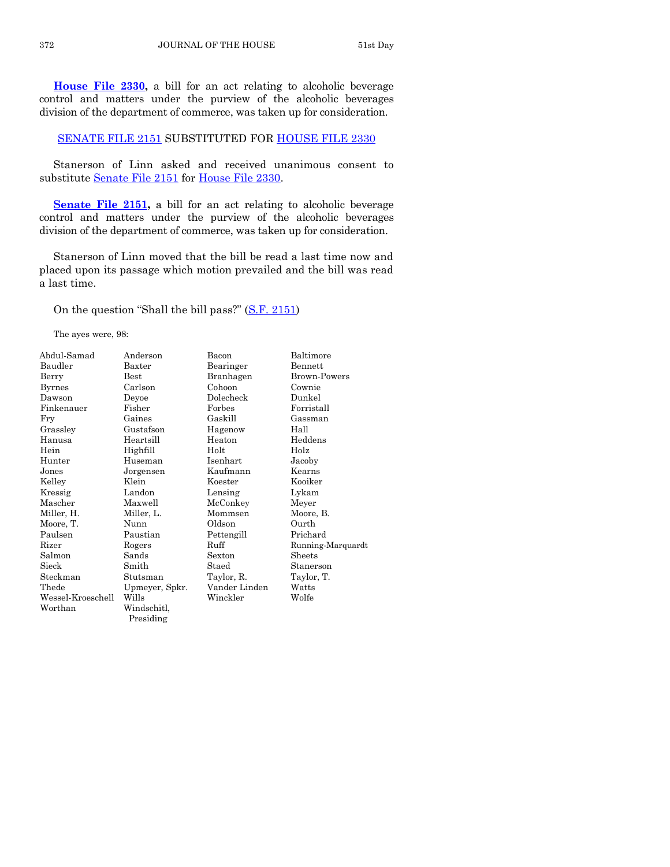**[House File 2330,](http://coolice.legis.iowa.gov/Cool-ICE/default.asp?Category=billinfo&Service=Billbook&frame=1&GA=86&hbill=HF2330)** a bill for an act relating to alcoholic beverage control and matters under the purview of the alcoholic beverages division of the department of commerce, was taken up for consideration.

#### [SENATE FILE 2151](http://coolice.legis.iowa.gov/Cool-ICE/default.asp?Category=billinfo&Service=Billbook&frame=1&GA=86&hbill=SF2151) SUBSTITUTED FOR [HOUSE FILE 2330](http://coolice.legis.iowa.gov/Cool-ICE/default.asp?Category=billinfo&Service=Billbook&frame=1&GA=86&hbill=HF2330)

Stanerson of Linn asked and received unanimous consent to substitute [Senate File 2151](http://coolice.legis.iowa.gov/Cool-ICE/default.asp?Category=billinfo&Service=Billbook&frame=1&GA=86&hbill=SF2151) for [House File 2330.](http://coolice.legis.iowa.gov/Cool-ICE/default.asp?Category=billinfo&Service=Billbook&frame=1&GA=86&hbill=HF2330)

**Senate File 2151**, a bill for an act relating to alcoholic beverage control and matters under the purview of the alcoholic beverages division of the department of commerce, was taken up for consideration.

Stanerson of Linn moved that the bill be read a last time now and placed upon its passage which motion prevailed and the bill was read a last time.

On the question "Shall the bill pass?" ([S.F. 2151\)](http://coolice.legis.iowa.gov/Cool-ICE/default.asp?Category=billinfo&Service=Billbook&frame=1&GA=86&hbill=SF2151)

| Abdul-Samad       | Anderson       | Bacon         | Baltimore         |
|-------------------|----------------|---------------|-------------------|
| Baudler           | Baxter         | Bearinger     | <b>Bennett</b>    |
| Berry             | $_{\rm Best}$  | Branhagen     | Brown-Powers      |
| <b>Byrnes</b>     | Carlson        | Cohoon        | Cownie            |
| Dawson            | Deyoe          | Dolecheck     | Dunkel            |
| Finkenauer        | Fisher         | Forbes        | Forristall        |
| Fry               | Gaines         | Gaskill       | Gassman           |
| Grassley          | Gustafson      | Hagenow       | Hall              |
| Hanusa            | Heartsill      | Heaton        | Heddens           |
| Hein              | Highfill       | Holt          | Holz              |
| Hunter            | Huseman        | Isenhart      | Jacoby            |
| Jones             | Jorgensen      | Kaufmann      | Kearns            |
| Kelley            | Klein          | Koester       | Kooiker           |
| Kressig           | Landon         | Lensing       | Lykam             |
| Mascher           | Maxwell        | McConkey      | Meyer             |
| Miller, H.        | Miller, L.     | Mommsen       | Moore, B.         |
| Moore, T.         | Nunn           | Oldson        | Ourth             |
| Paulsen           | Paustian       | Pettengill    | Prichard          |
| Rizer             | Rogers         | Ruff          | Running-Marquardt |
| Salmon            | Sands          | Sexton        | Sheets            |
| Sieck             | Smith          | Staed         | Stanerson         |
| Steckman          | Stutsman       | Taylor, R.    | Taylor, T.        |
| Thede             | Upmeyer, Spkr. | Vander Linden | Watts             |
| Wessel-Kroeschell | Wills          | Winckler      | Wolfe             |
| Worthan           | Windschitl,    |               |                   |
|                   | Presiding      |               |                   |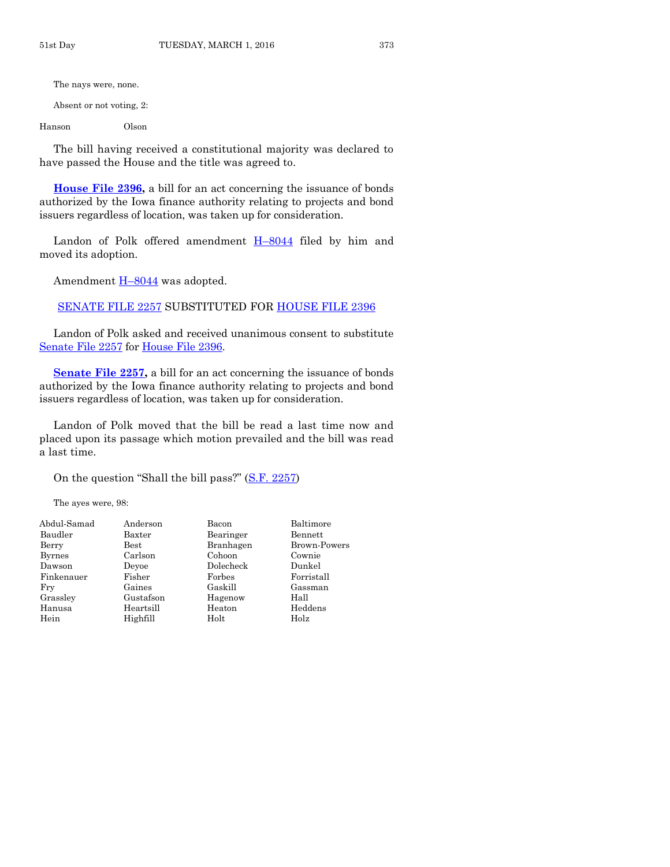Absent or not voting, 2:

Hanson Olson

The bill having received a constitutional majority was declared to have passed the House and the title was agreed to.

**[House File 2396,](http://coolice.legis.iowa.gov/Cool-ICE/default.asp?Category=billinfo&Service=Billbook&frame=1&GA=86&hbill=HF2396)** a bill for an act concerning the issuance of bonds authorized by the Iowa finance authority relating to projects and bond issuers regardless of location, was taken up for consideration.

Landon of Polk offered amendment  $H-8044$  $H-8044$  filed by him and moved its adoption.

Amendment  $H-8044$  $H-8044$  was adopted.

[SENATE FILE 2257](http://coolice.legis.iowa.gov/Cool-ICE/default.asp?Category=billinfo&Service=Billbook&frame=1&GA=86&hbill=SF2257) SUBSTITUTED FOR [HOUSE FILE 2396](http://coolice.legis.iowa.gov/Cool-ICE/default.asp?Category=billinfo&Service=Billbook&frame=1&GA=86&hbill=HF2396)

Landon of Polk asked and received unanimous consent to substitute [Senate File 2257](http://coolice.legis.iowa.gov/Cool-ICE/default.asp?Category=billinfo&Service=Billbook&frame=1&GA=86&hbill=SF2257) for [House File 2396.](http://coolice.legis.iowa.gov/Cool-ICE/default.asp?Category=billinfo&Service=Billbook&frame=1&GA=86&hbill=HF2396)

**[Senate File 2257,](http://coolice.legis.iowa.gov/Cool-ICE/default.asp?Category=billinfo&Service=Billbook&frame=1&GA=86&hbill=SF2257)** a bill for an act concerning the issuance of bonds authorized by the Iowa finance authority relating to projects and bond issuers regardless of location, was taken up for consideration.

Landon of Polk moved that the bill be read a last time now and placed upon its passage which motion prevailed and the bill was read a last time.

On the question "Shall the bill pass?" ([S.F. 2257\)](http://coolice.legis.iowa.gov/Cool-ICE/default.asp?Category=billinfo&Service=Billbook&frame=1&GA=86&hbill=SF2257)

| Abdul-Samad   | Anderson      | Bacon     | Baltimore    |
|---------------|---------------|-----------|--------------|
| Baudler       | Baxter        | Bearinger | Bennett      |
| Berry         | $_{\rm Best}$ | Branhagen | Brown-Powers |
| <b>Byrnes</b> | Carlson       | Cohoon    | Cownie       |
| Dawson        | Devoe         | Dolecheck | Dunkel       |
| Finkenauer    | Fisher        | Forbes    | Forristall   |
| Fry           | Gaines        | Gaskill   | Gassman      |
| Grassley      | Gustafson     | Hagenow   | Hall         |
| Hanusa        | Heartsill     | Heaton    | Heddens      |
| Hein          | Highfill      | Holt      | Holz         |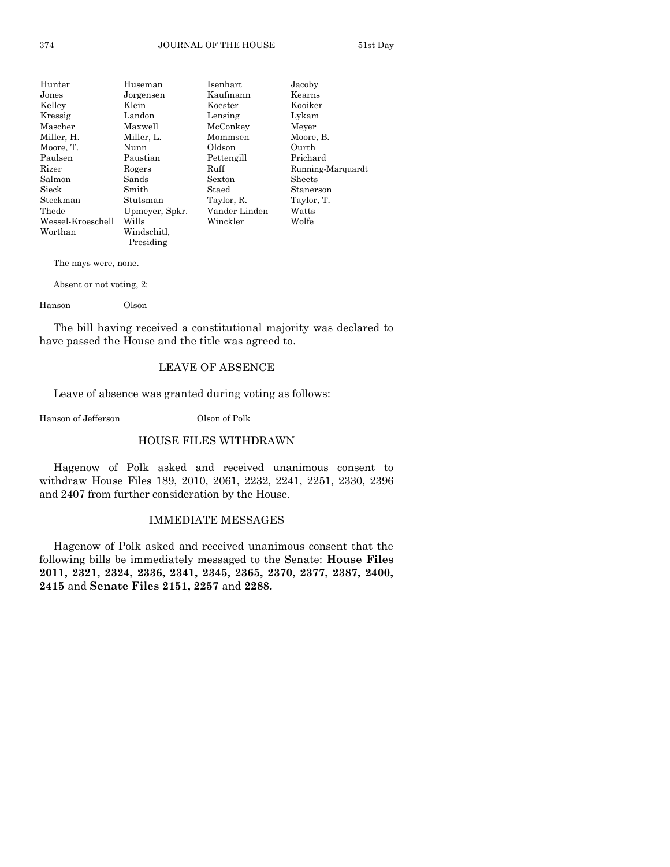| Hunter            | Huseman        | Isenhart      | Jacoby            |
|-------------------|----------------|---------------|-------------------|
| Jones             | Jorgensen      | Kaufmann      | Kearns            |
| Kelley            | Klein          | Koester       | Kooiker           |
| Kressig           | Landon         | Lensing       | Lykam             |
| Mascher           | Maxwell        | McConkey      | Meyer             |
| Miller, H.        | Miller, L.     | Mommsen       | Moore, B.         |
| Moore, T.         | Nunn           | Oldson        | Ourth             |
| Paulsen           | Paustian       | Pettengill    | Prichard          |
| Rizer             | Rogers         | Ruff          | Running-Marquardt |
| Salmon            | Sands          | Sexton        | <b>Sheets</b>     |
| Sieck             | Smith          | Staed         | Stanerson         |
| Steckman          | Stutsman       | Taylor, R.    | Taylor, T.        |
| Thede             | Upmeyer, Spkr. | Vander Linden | Watts             |
| Wessel-Kroeschell | Wills          | Winckler      | Wolfe             |
| Worthan           | Windschitl.    |               |                   |
|                   | Presiding      |               |                   |

Absent or not voting, 2:

Hanson Olson

The bill having received a constitutional majority was declared to have passed the House and the title was agreed to.

#### LEAVE OF ABSENCE

Leave of absence was granted during voting as follows:

Hanson of Jefferson Olson of Polk

### HOUSE FILES WITHDRAWN

Hagenow of Polk asked and received unanimous consent to withdraw House Files 189, 2010, 2061, 2232, 2241, 2251, 2330, 2396 and 2407 from further consideration by the House.

#### IMMEDIATE MESSAGES

Hagenow of Polk asked and received unanimous consent that the following bills be immediately messaged to the Senate: **House Files 2011, 2321, 2324, 2336, 2341, 2345, 2365, 2370, 2377, 2387, 2400, 2415** and **Senate Files 2151, 2257** and **2288.**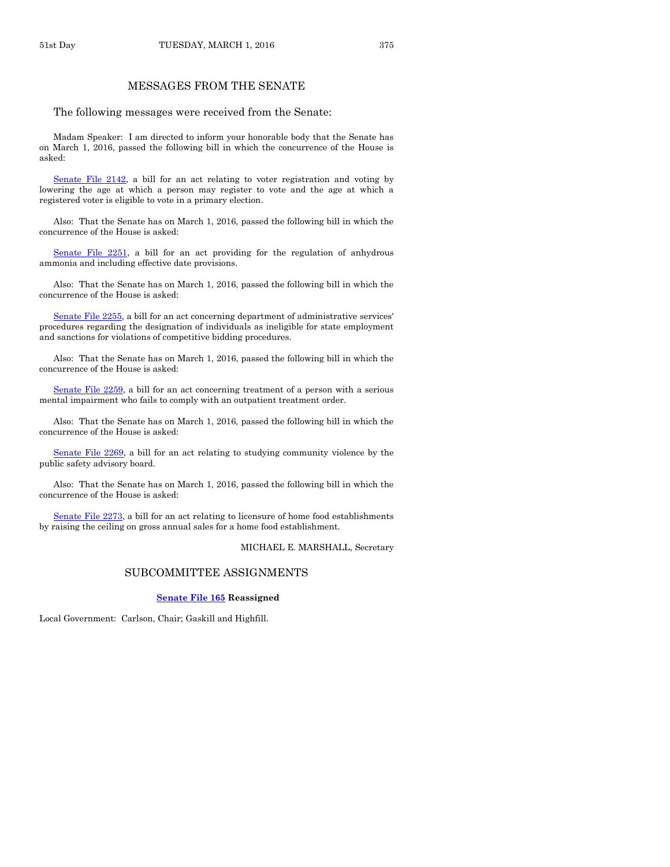#### MESSAGES FROM THE SENATE

The following messages were received from the Senate:

Madam Speaker: I am directed to inform your honorable body that the Senate has on March 1, 2016, passed the following bill in which the concurrence of the House is asked:

[Senate File 2142,](http://coolice.legis.iowa.gov/Cool-ICE/default.asp?Category=billinfo&Service=Billbook&frame=1&GA=86&hbill=SF2142) a bill for an act relating to voter registration and voting by lowering the age at which a person may register to vote and the age at which a registered voter is eligible to vote in a primary election.

Also: That the Senate has on March 1, 2016, passed the following bill in which the concurrence of the House is asked:

[Senate File 2251,](http://coolice.legis.iowa.gov/Cool-ICE/default.asp?Category=billinfo&Service=Billbook&frame=1&GA=86&hbill=SF2251) a bill for an act providing for the regulation of anhydrous ammonia and including effective date provisions.

Also: That the Senate has on March 1, 2016, passed the following bill in which the concurrence of the House is asked:

[Senate File 2255,](http://coolice.legis.iowa.gov/Cool-ICE/default.asp?Category=billinfo&Service=Billbook&frame=1&GA=86&hbill=SF2255) a bill for an act concerning department of administrative services' procedures regarding the designation of individuals as ineligible for state employment and sanctions for violations of competitive bidding procedures.

Also: That the Senate has on March 1, 2016, passed the following bill in which the concurrence of the House is asked:

[Senate File 2259,](http://coolice.legis.iowa.gov/Cool-ICE/default.asp?Category=billinfo&Service=Billbook&frame=1&GA=86&hbill=SF2259) a bill for an act concerning treatment of a person with a serious mental impairment who fails to comply with an outpatient treatment order.

Also: That the Senate has on March 1, 2016, passed the following bill in which the concurrence of the House is asked:

[Senate File 2269,](http://coolice.legis.iowa.gov/Cool-ICE/default.asp?Category=billinfo&Service=Billbook&frame=1&GA=86&hbill=SF2269) a bill for an act relating to studying community violence by the public safety advisory board.

Also: That the Senate has on March 1, 2016, passed the following bill in which the concurrence of the House is asked:

[Senate File 2273,](http://coolice.legis.iowa.gov/Cool-ICE/default.asp?Category=billinfo&Service=Billbook&frame=1&GA=86&hbill=SF2273) a bill for an act relating to licensure of home food establishments by raising the ceiling on gross annual sales for a home food establishment.

MICHAEL E. MARSHALL, Secretary

#### SUBCOMMITTEE ASSIGNMENTS

#### **[Senate File 165](http://coolice.legis.iowa.gov/Cool-ICE/default.asp?Category=billinfo&Service=Billbook&frame=1&GA=86&hbill=SF165) Reassigned**

Local Government: Carlson, Chair; Gaskill and Highfill.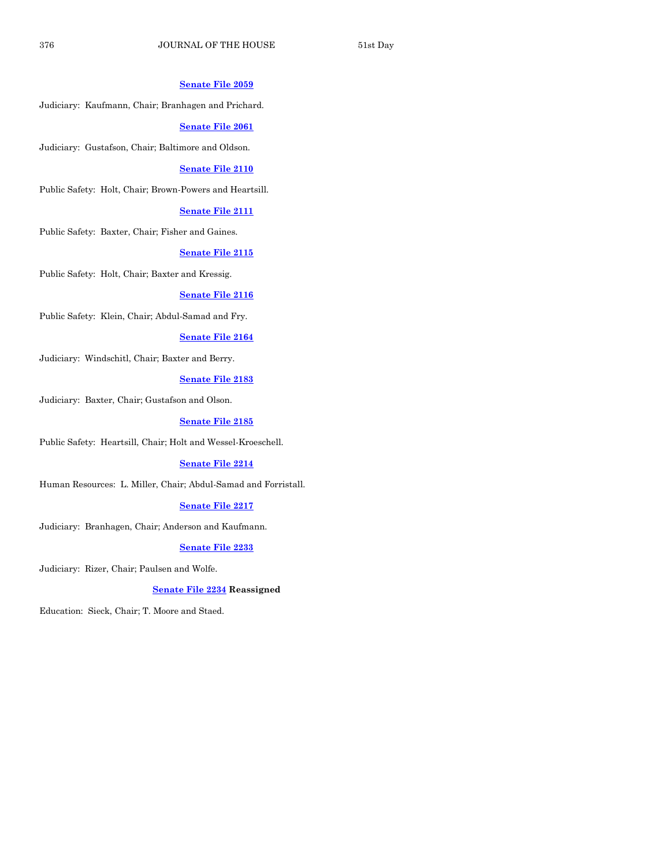#### **[Senate File 2059](http://coolice.legis.iowa.gov/Cool-ICE/default.asp?Category=billinfo&Service=Billbook&frame=1&GA=86&hbill=SF2059)**

Judiciary: Kaufmann, Chair; Branhagen and Prichard.

#### **[Senate File 2061](http://coolice.legis.iowa.gov/Cool-ICE/default.asp?Category=billinfo&Service=Billbook&frame=1&GA=86&hbill=SF2061)**

Judiciary: Gustafson, Chair; Baltimore and Oldson.

#### **[Senate File 2110](http://coolice.legis.iowa.gov/Cool-ICE/default.asp?Category=billinfo&Service=Billbook&frame=1&GA=86&hbill=SF2110)**

Public Safety: Holt, Chair; Brown-Powers and Heartsill.

#### **[Senate File 2111](http://coolice.legis.iowa.gov/Cool-ICE/default.asp?Category=billinfo&Service=Billbook&frame=1&GA=86&hbill=SF2111)**

Public Safety: Baxter, Chair; Fisher and Gaines.

#### **[Senate File 2115](http://coolice.legis.iowa.gov/Cool-ICE/default.asp?Category=billinfo&Service=Billbook&frame=1&GA=86&hbill=SF2115)**

Public Safety: Holt, Chair; Baxter and Kressig.

#### **[Senate File 2116](http://coolice.legis.iowa.gov/Cool-ICE/default.asp?Category=billinfo&Service=Billbook&frame=1&GA=86&hbill=SF2116)**

Public Safety: Klein, Chair; Abdul-Samad and Fry.

#### **[Senate File 2164](http://coolice.legis.iowa.gov/Cool-ICE/default.asp?Category=billinfo&Service=Billbook&frame=1&GA=86&hbill=SF2164)**

Judiciary: Windschitl, Chair; Baxter and Berry.

#### **[Senate File 2183](http://coolice.legis.iowa.gov/Cool-ICE/default.asp?Category=billinfo&Service=Billbook&frame=1&GA=86&hbill=SF2183)**

Judiciary: Baxter, Chair; Gustafson and Olson.

#### **[Senate File 2185](http://coolice.legis.iowa.gov/Cool-ICE/default.asp?Category=billinfo&Service=Billbook&frame=1&GA=86&hbill=SF2185)**

Public Safety: Heartsill, Chair; Holt and Wessel-Kroeschell.

#### **[Senate File 2214](http://coolice.legis.iowa.gov/Cool-ICE/default.asp?Category=billinfo&Service=Billbook&frame=1&GA=86&hbill=SF2214)**

Human Resources: L. Miller, Chair; Abdul-Samad and Forristall.

#### **[Senate File 2217](http://coolice.legis.iowa.gov/Cool-ICE/default.asp?Category=billinfo&Service=Billbook&frame=1&GA=86&hbill=SF2217)**

Judiciary: Branhagen, Chair; Anderson and Kaufmann.

#### **[Senate File 2233](http://coolice.legis.iowa.gov/Cool-ICE/default.asp?Category=billinfo&Service=Billbook&frame=1&GA=86&hbill=SF2233)**

Judiciary: Rizer, Chair; Paulsen and Wolfe.

#### **[Senate File 2234](http://coolice.legis.iowa.gov/Cool-ICE/default.asp?Category=billinfo&Service=Billbook&frame=1&GA=86&hbill=SF2234) Reassigned**

Education: Sieck, Chair; T. Moore and Staed.